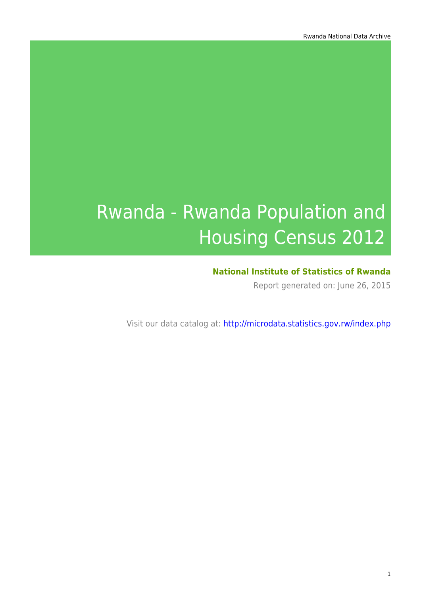# Rwanda - Rwanda Population and Housing Census 2012

### **National Institute of Statistics of Rwanda**

Report generated on: June 26, 2015

Visit our data catalog at: http://microdata.statistics.gov.rw/index.php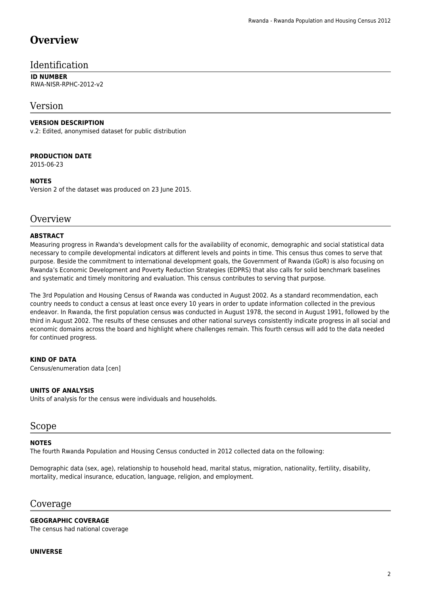# **Overview**

#### Identification

#### **ID NUMBER** RWA-NISR-RPHC-2012-v2

#### Version

#### **VERSION DESCRIPTION**

v.2: Edited, anonymised dataset for public distribution

#### **PRODUCTION DATE**

2015-06-23

#### **NOTES**

Version 2 of the dataset was produced on 23 June 2015.

#### **Overview**

#### **ABSTRACT**

Measuring progress in Rwanda's development calls for the availability of economic, demographic and social statistical data necessary to compile developmental indicators at different levels and points in time. This census thus comes to serve that purpose. Beside the commitment to international development goals, the Government of Rwanda (GoR) is also focusing on Rwanda's Economic Development and Poverty Reduction Strategies (EDPRS) that also calls for solid benchmark baselines and systematic and timely monitoring and evaluation. This census contributes to serving that purpose.

The 3rd Population and Housing Census of Rwanda was conducted in August 2002. As a standard recommendation, each country needs to conduct a census at least once every 10 years in order to update information collected in the previous endeavor. In Rwanda, the first population census was conducted in August 1978, the second in August 1991, followed by the third in August 2002. The results of these censuses and other national surveys consistently indicate progress in all social and economic domains across the board and highlight where challenges remain. This fourth census will add to the data needed for continued progress.

#### **KIND OF DATA**

Census/enumeration data [cen]

#### **UNITS OF ANALYSIS**

Units of analysis for the census were individuals and households.

#### Scope

#### **NOTES**

The fourth Rwanda Population and Housing Census conducted in 2012 collected data on the following:

Demographic data (sex, age), relationship to household head, marital status, migration, nationality, fertility, disability, mortality, medical insurance, education, language, religion, and employment.

#### Coverage

**GEOGRAPHIC COVERAGE** The census had national coverage

#### **UNIVERSE**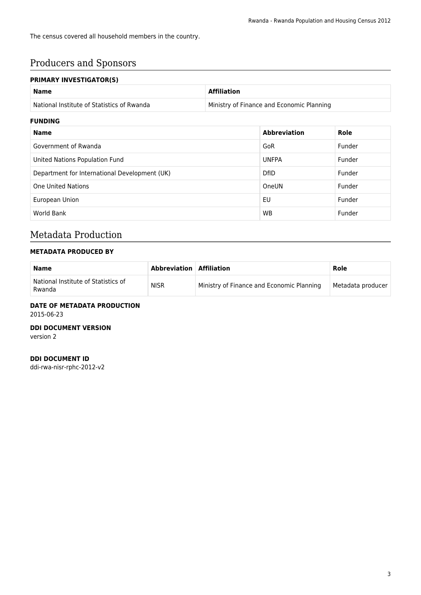The census covered all household members in the country.

# Producers and Sponsors

#### **PRIMARY INVESTIGATOR(S)**

| <b>FRIMARI INVESTIGATURISI</b>                |                                           |                     |        |  |
|-----------------------------------------------|-------------------------------------------|---------------------|--------|--|
| <b>Name</b>                                   | <b>Affiliation</b>                        |                     |        |  |
| National Institute of Statistics of Rwanda    | Ministry of Finance and Economic Planning |                     |        |  |
| <b>FUNDING</b>                                |                                           |                     |        |  |
| <b>Name</b>                                   |                                           | <b>Abbreviation</b> | Role   |  |
| Government of Rwanda                          |                                           | GoR                 | Funder |  |
| United Nations Population Fund                |                                           | <b>UNFPA</b>        | Funder |  |
| Department for International Development (UK) |                                           | <b>DfID</b>         | Funder |  |
| <b>One United Nations</b>                     |                                           | OneUN               | Funder |  |
| European Union                                |                                           | EU                  | Funder |  |
| World Bank                                    |                                           | <b>WB</b>           | Funder |  |

### Metadata Production

#### **METADATA PRODUCED BY**

| Name                                          | Abbreviation   Affiliation |                                           | Role              |
|-----------------------------------------------|----------------------------|-------------------------------------------|-------------------|
| National Institute of Statistics of<br>Rwanda | <b>NISR</b>                | Ministry of Finance and Economic Planning | Metadata producer |

# **DATE OF METADATA PRODUCTION**

2015-06-23

#### **DDI DOCUMENT VERSION**

version 2

#### **DDI DOCUMENT ID**

ddi-rwa-nisr-rphc-2012-v2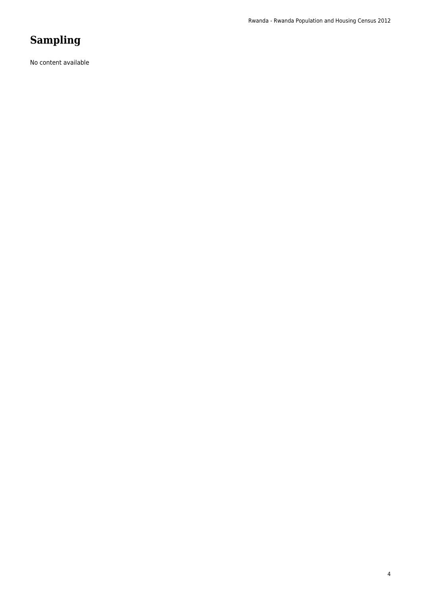# **Sampling**

No content available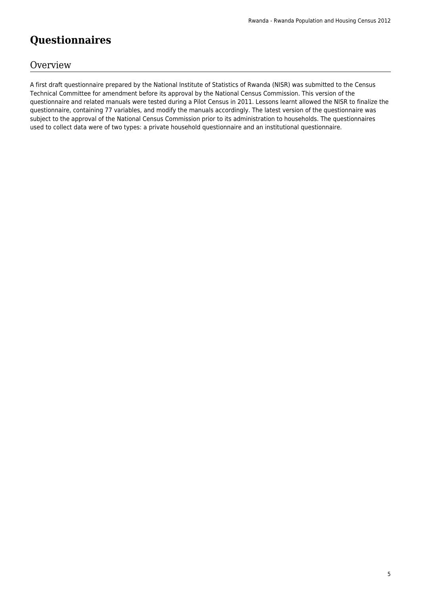# **Questionnaires**

### **Overview**

A first draft questionnaire prepared by the National Institute of Statistics of Rwanda (NISR) was submitted to the Census Technical Committee for amendment before its approval by the National Census Commission. This version of the questionnaire and related manuals were tested during a Pilot Census in 2011. Lessons learnt allowed the NISR to finalize the questionnaire, containing 77 variables, and modify the manuals accordingly. The latest version of the questionnaire was subject to the approval of the National Census Commission prior to its administration to households. The questionnaires used to collect data were of two types: a private household questionnaire and an institutional questionnaire.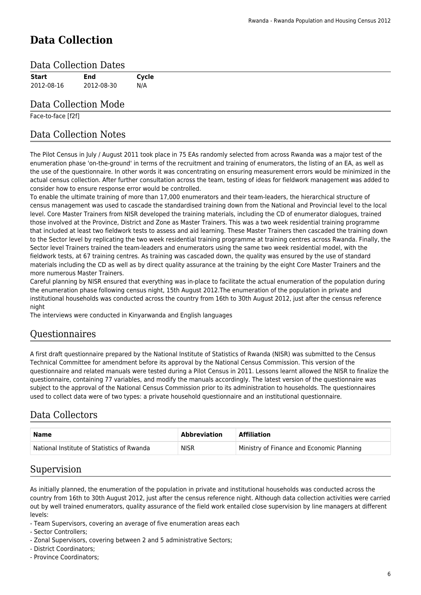# **Data Collection**

#### Data Collection Dates

| <b>Start</b> | <b>End</b>           | Cycle |
|--------------|----------------------|-------|
| 2012-08-16   | 2012-08-30           | N/A   |
|              | Data Collection Mode |       |

#### Face-to-face [f2f]

### Data Collection Notes

The Pilot Census in July / August 2011 took place in 75 EAs randomly selected from across Rwanda was a major test of the enumeration phase 'on-the-ground' in terms of the recruitment and training of enumerators, the listing of an EA, as well as the use of the questionnaire. In other words it was concentrating on ensuring measurement errors would be minimized in the actual census collection. After further consultation across the team, testing of ideas for fieldwork management was added to consider how to ensure response error would be controlled.

To enable the ultimate training of more than 17,000 enumerators and their team-leaders, the hierarchical structure of census management was used to cascade the standardised training down from the National and Provincial level to the local level. Core Master Trainers from NISR developed the training materials, including the CD of enumerator dialogues, trained those involved at the Province, District and Zone as Master Trainers. This was a two week residential training programme that included at least two fieldwork tests to assess and aid learning. These Master Trainers then cascaded the training down to the Sector level by replicating the two week residential training programme at training centres across Rwanda. Finally, the Sector level Trainers trained the team-leaders and enumerators using the same two week residential model, with the fieldwork tests, at 67 training centres. As training was cascaded down, the quality was ensured by the use of standard materials including the CD as well as by direct quality assurance at the training by the eight Core Master Trainers and the more numerous Master Trainers.

Careful planning by NISR ensured that everything was in-place to facilitate the actual enumeration of the population during the enumeration phase following census night, 15th August 2012.The enumeration of the population in private and institutional households was conducted across the country from 16th to 30th August 2012, just after the census reference night

The interviews were conducted in Kinyarwanda and English languages

### Questionnaires

A first draft questionnaire prepared by the National Institute of Statistics of Rwanda (NISR) was submitted to the Census Technical Committee for amendment before its approval by the National Census Commission. This version of the questionnaire and related manuals were tested during a Pilot Census in 2011. Lessons learnt allowed the NISR to finalize the questionnaire, containing 77 variables, and modify the manuals accordingly. The latest version of the questionnaire was subject to the approval of the National Census Commission prior to its administration to households. The questionnaires used to collect data were of two types: a private household questionnaire and an institutional questionnaire.

### Data Collectors

| Name                                       | <b>Abbreviation</b> | <b>Affiliation</b>                        |
|--------------------------------------------|---------------------|-------------------------------------------|
| National Institute of Statistics of Rwanda | <b>NISR</b>         | Ministry of Finance and Economic Planning |

#### Supervision

As initially planned, the enumeration of the population in private and institutional households was conducted across the country from 16th to 30th August 2012, just after the census reference night. Although data collection activities were carried out by well trained enumerators, quality assurance of the field work entailed close supervision by line managers at different levels:

- Team Supervisors, covering an average of five enumeration areas each
- Sector Controllers;
- Zonal Supervisors, covering between 2 and 5 administrative Sectors;
- District Coordinators;
- Province Coordinators;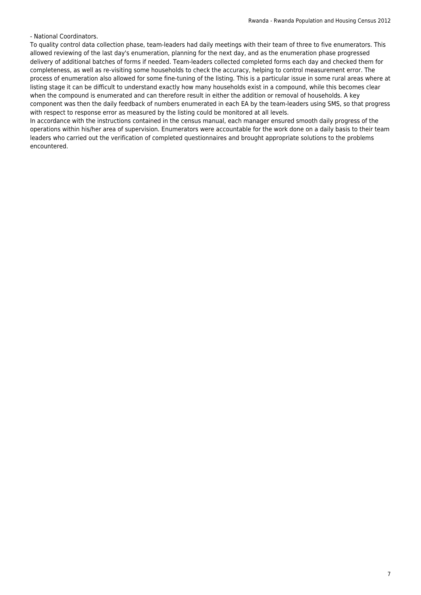- National Coordinators.

To quality control data collection phase, team-leaders had daily meetings with their team of three to five enumerators. This allowed reviewing of the last day's enumeration, planning for the next day, and as the enumeration phase progressed delivery of additional batches of forms if needed. Team-leaders collected completed forms each day and checked them for completeness, as well as re-visiting some households to check the accuracy, helping to control measurement error. The process of enumeration also allowed for some fine-tuning of the listing. This is a particular issue in some rural areas where at listing stage it can be difficult to understand exactly how many households exist in a compound, while this becomes clear when the compound is enumerated and can therefore result in either the addition or removal of households. A key component was then the daily feedback of numbers enumerated in each EA by the team-leaders using SMS, so that progress with respect to response error as measured by the listing could be monitored at all levels.

In accordance with the instructions contained in the census manual, each manager ensured smooth daily progress of the operations within his/her area of supervision. Enumerators were accountable for the work done on a daily basis to their team leaders who carried out the verification of completed questionnaires and brought appropriate solutions to the problems encountered.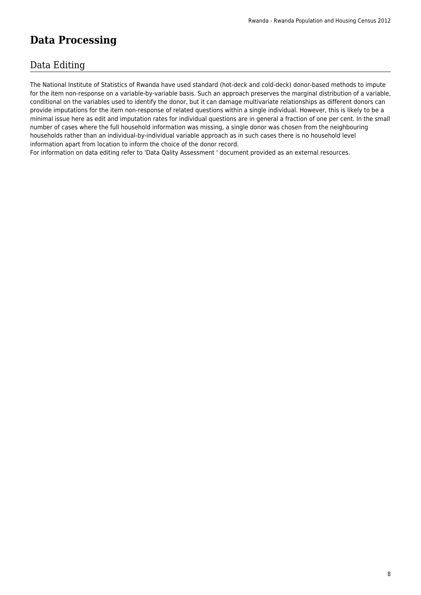# **Data Processing**

### Data Editing

The National Institute of Statistics of Rwanda have used standard (hot-deck and cold-deck) donor-based methods to impute for the item non-response on a variable-by-variable basis. Such an approach preserves the marginal distribution of a variable, conditional on the variables used to identify the donor, but it can damage multivariate relationships as different donors can provide imputations for the item non-response of related questions within a single individual. However, this is likely to be a minimal issue here as edit and imputation rates for individual questions are in general a fraction of one per cent. In the small number of cases where the full household information was missing, a single donor was chosen from the neighbouring households rather than an individual-by-individual variable approach as in such cases there is no household level information apart from location to inform the choice of the donor record.

For information on data editing refer to 'Data Qality Assessment ' document provided as an external resources.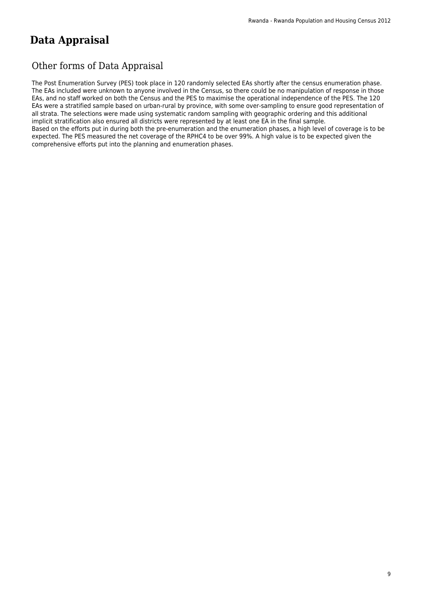# **Data Appraisal**

### Other forms of Data Appraisal

The Post Enumeration Survey (PES) took place in 120 randomly selected EAs shortly after the census enumeration phase. The EAs included were unknown to anyone involved in the Census, so there could be no manipulation of response in those EAs, and no staff worked on both the Census and the PES to maximise the operational independence of the PES. The 120 EAs were a stratified sample based on urban-rural by province, with some over-sampling to ensure good representation of all strata. The selections were made using systematic random sampling with geographic ordering and this additional implicit stratification also ensured all districts were represented by at least one EA in the final sample.

Based on the efforts put in during both the pre-enumeration and the enumeration phases, a high level of coverage is to be expected. The PES measured the net coverage of the RPHC4 to be over 99%. A high value is to be expected given the comprehensive efforts put into the planning and enumeration phases.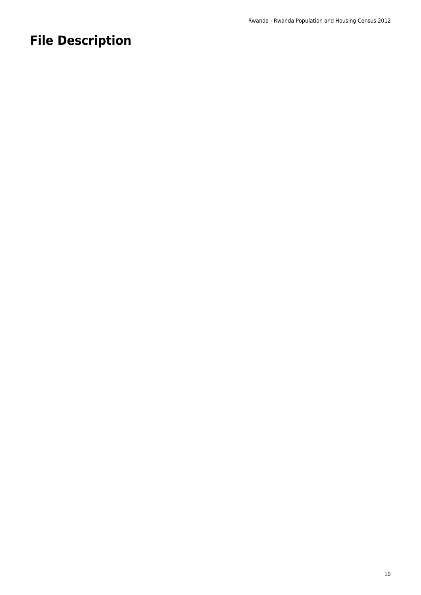# **File Description**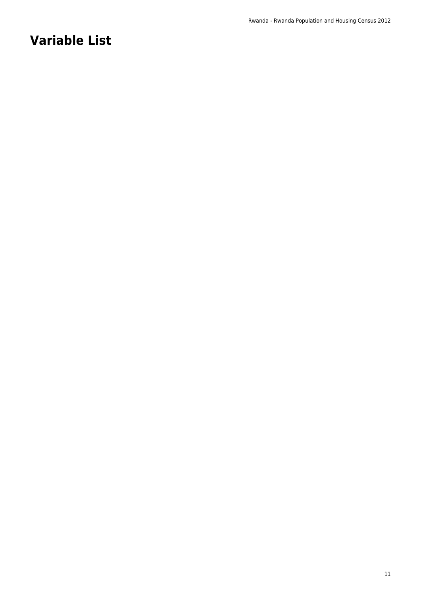# **Variable List**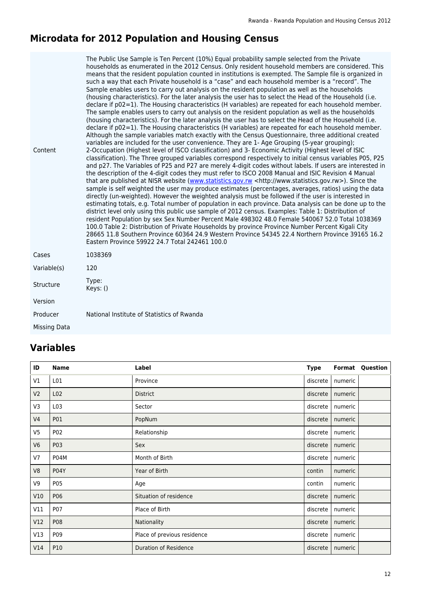#### **Microdata for 2012 Population and Housing Census**

| Content      | The Public Use Sample is Ten Percent (10%) Equal probability sample selected from the Private<br>households as enumerated in the 2012 Census. Only resident household members are considered. This<br>means that the resident population counted in institutions is exempted. The Sample file is organized in<br>such a way that each Private household is a "case" and each household member is a "record". The<br>Sample enables users to carry out analysis on the resident population as well as the households<br>(housing characteristics). For the later analysis the user has to select the Head of the Household (i.e.<br>declare if p02=1). The Housing characteristics (H variables) are repeated for each household member.<br>The sample enables users to carry out analysis on the resident population as well as the households<br>(housing characteristics). For the later analysis the user has to select the Head of the Household (i.e.<br>declare if $p02=1$ ). The Housing characteristics (H variables) are repeated for each household member.<br>Although the sample variables match exactly with the Census Questionnaire, three additional created<br>variables are included for the user convenience. They are 1- Age Grouping (5-year grouping);<br>2-Occupation (Highest level of ISCO classification) and 3- Economic Activity (Highest level of ISIC<br>classification). The Three grouped variables correspond respectively to initial census variables P05, P25<br>and p27. The Variables of P25 and P27 are merely 4-digit codes without labels. If users are interested in<br>the description of the 4-digit codes they must refer to ISCO 2008 Manual and ISIC Revision 4 Manual<br>that are published at NISR website (www.statistics.gov.rw <http: www.statistics.gov.rw="">). Since the<br/>sample is self weighted the user may produce estimates (percentages, averages, ratios) using the data<br/>directly (un-weighted). However the weighted analysis must be followed if the user is interested in<br/>estimating totals, e.g. Total number of population in each province. Data analysis can be done up to the<br/>district level only using this public use sample of 2012 census. Examples: Table 1: Distribution of<br/>resident Population by sex Sex Number Percent Male 498302 48.0 Female 540067 52.0 Total 1038369<br/>100.0 Table 2: Distribution of Private Households by province Province Number Percent Kigali City<br/>28665 11.8 Southern Province 60364 24.9 Western Province 54345 22.4 Northern Province 39165 16.2<br/>Eastern Province 59922 24.7 Total 242461 100.0</http:> |
|--------------|-------------------------------------------------------------------------------------------------------------------------------------------------------------------------------------------------------------------------------------------------------------------------------------------------------------------------------------------------------------------------------------------------------------------------------------------------------------------------------------------------------------------------------------------------------------------------------------------------------------------------------------------------------------------------------------------------------------------------------------------------------------------------------------------------------------------------------------------------------------------------------------------------------------------------------------------------------------------------------------------------------------------------------------------------------------------------------------------------------------------------------------------------------------------------------------------------------------------------------------------------------------------------------------------------------------------------------------------------------------------------------------------------------------------------------------------------------------------------------------------------------------------------------------------------------------------------------------------------------------------------------------------------------------------------------------------------------------------------------------------------------------------------------------------------------------------------------------------------------------------------------------------------------------------------------------------------------------------------------------------------------------------------------------------------------------------------------------------------------------------------------------------------------------------------------------------------------------------------------------------------------------------------------------------------------------------------------------------------------------------------------------------------------------------------------------------------------------------------------------------------------------------------------------------------------------------------------------------------------------------------------------------------|
| Cases        | 1038369                                                                                                                                                                                                                                                                                                                                                                                                                                                                                                                                                                                                                                                                                                                                                                                                                                                                                                                                                                                                                                                                                                                                                                                                                                                                                                                                                                                                                                                                                                                                                                                                                                                                                                                                                                                                                                                                                                                                                                                                                                                                                                                                                                                                                                                                                                                                                                                                                                                                                                                                                                                                                                         |
| Variable(s)  | 120                                                                                                                                                                                                                                                                                                                                                                                                                                                                                                                                                                                                                                                                                                                                                                                                                                                                                                                                                                                                                                                                                                                                                                                                                                                                                                                                                                                                                                                                                                                                                                                                                                                                                                                                                                                                                                                                                                                                                                                                                                                                                                                                                                                                                                                                                                                                                                                                                                                                                                                                                                                                                                             |
| Structure    | Type:<br>Keys: ()                                                                                                                                                                                                                                                                                                                                                                                                                                                                                                                                                                                                                                                                                                                                                                                                                                                                                                                                                                                                                                                                                                                                                                                                                                                                                                                                                                                                                                                                                                                                                                                                                                                                                                                                                                                                                                                                                                                                                                                                                                                                                                                                                                                                                                                                                                                                                                                                                                                                                                                                                                                                                               |
| Version      |                                                                                                                                                                                                                                                                                                                                                                                                                                                                                                                                                                                                                                                                                                                                                                                                                                                                                                                                                                                                                                                                                                                                                                                                                                                                                                                                                                                                                                                                                                                                                                                                                                                                                                                                                                                                                                                                                                                                                                                                                                                                                                                                                                                                                                                                                                                                                                                                                                                                                                                                                                                                                                                 |
| Producer     | National Institute of Statistics of Rwanda                                                                                                                                                                                                                                                                                                                                                                                                                                                                                                                                                                                                                                                                                                                                                                                                                                                                                                                                                                                                                                                                                                                                                                                                                                                                                                                                                                                                                                                                                                                                                                                                                                                                                                                                                                                                                                                                                                                                                                                                                                                                                                                                                                                                                                                                                                                                                                                                                                                                                                                                                                                                      |
| Missing Data |                                                                                                                                                                                                                                                                                                                                                                                                                                                                                                                                                                                                                                                                                                                                                                                                                                                                                                                                                                                                                                                                                                                                                                                                                                                                                                                                                                                                                                                                                                                                                                                                                                                                                                                                                                                                                                                                                                                                                                                                                                                                                                                                                                                                                                                                                                                                                                                                                                                                                                                                                                                                                                                 |
|              |                                                                                                                                                                                                                                                                                                                                                                                                                                                                                                                                                                                                                                                                                                                                                                                                                                                                                                                                                                                                                                                                                                                                                                                                                                                                                                                                                                                                                                                                                                                                                                                                                                                                                                                                                                                                                                                                                                                                                                                                                                                                                                                                                                                                                                                                                                                                                                                                                                                                                                                                                                                                                                                 |

# **Variables**

| ID             | <b>Name</b>     | Label                        | <b>Type</b> | Format  | Question |
|----------------|-----------------|------------------------------|-------------|---------|----------|
| V1             | L01             | Province                     | discrete    | numeric |          |
| V <sub>2</sub> | L02             | <b>District</b>              | discrete    | numeric |          |
| V3             | L <sub>03</sub> | Sector                       | discrete    | numeric |          |
| V <sub>4</sub> | P01             | PopNum                       | discrete    | numeric |          |
| V <sub>5</sub> | P02             | Relationship                 | discrete    | numeric |          |
| V <sub>6</sub> | P03             | Sex                          | discrete    | numeric |          |
| V7             | P04M            | Month of Birth               | discrete    | numeric |          |
| V8             | <b>P04Y</b>     | Year of Birth                | contin      | numeric |          |
| V9             | P05             | Age                          | contin      | numeric |          |
| V10            | P06             | Situation of residence       | discrete    | numeric |          |
| V11            | P07             | Place of Birth               | discrete    | numeric |          |
| V12            | P08             | Nationality                  | discrete    | numeric |          |
| V13            | P09             | Place of previous residence  | discrete    | numeric |          |
| V14            | P10             | <b>Duration of Residence</b> | discrete    | numeric |          |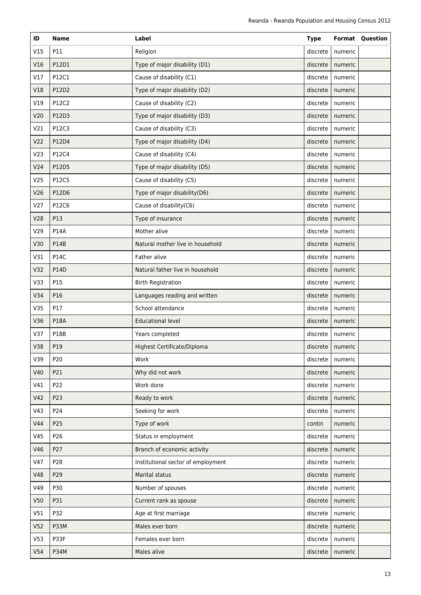| ID              | Name            | Label                              | <b>Type</b> |                    | <b>Format Question</b> |
|-----------------|-----------------|------------------------------------|-------------|--------------------|------------------------|
| V15             | P11             | Religion                           | discrete    | numeric            |                        |
| V16             | P12D1           | Type of major disability (D1)      | discrete    | numeric            |                        |
| V17             | P12C1           | Cause of disability (C1)           | discrete    | numeric            |                        |
| V18             | P12D2           | Type of major disability (D2)      | discrete    | numeric            |                        |
| V19             | P12C2           | Cause of disability (C2)           | discrete    | numeric            |                        |
| V20             | P12D3           | Type of major disability (D3)      | discrete    | numeric            |                        |
| V21             | P12C3           | Cause of disability (C3)           | discrete    | numeric            |                        |
| V <sub>22</sub> | P12D4           | Type of major disability (D4)      | discrete    | numeric            |                        |
| V <sub>23</sub> | P12C4           | Cause of disability (C4)           | discrete    | numeric            |                        |
| V <sub>24</sub> | P12D5           | Type of major disability (D5)      | discrete    | numeric            |                        |
| V <sub>25</sub> | P12C5           | Cause of disability (C5)           | discrete    | numeric            |                        |
| V26             | P12D6           | Type of major disability(D6)       | discrete    | numeric            |                        |
| V <sub>27</sub> | P12C6           | Cause of disability(C6)            | discrete    | numeric            |                        |
| <b>V28</b>      | P13             | Type of insurance                  | discrete    | numeric            |                        |
| V29             | <b>P14A</b>     | Mother alive                       | discrete    | numeric            |                        |
| V30             | <b>P14B</b>     | Natural mother live in household   | discrete    | numeric            |                        |
| V31             | <b>P14C</b>     | Father alive                       | discrete    | numeric            |                        |
| V32             | P14D            | Natural father live in household   | discrete    | numeric            |                        |
| V33             | P15             | <b>Birth Registration</b>          | discrete    | numeric            |                        |
| V34             | P16             | Languages reading and written      | discrete    | numeric            |                        |
| V35             | P17             | School attendance                  | discrete    | numeric            |                        |
| V36             | <b>P18A</b>     | <b>Educational level</b>           | discrete    | numeric            |                        |
| V37             | <b>P18B</b>     | Years completed                    | discrete    | numeric            |                        |
| V38             | P19             | Highest Certificate/Diploma        |             | discrete   numeric |                        |
| V39             | P <sub>20</sub> | Work                               | discrete    | numeric            |                        |
| V40             | P21             | Why did not work                   | discrete    | numeric            |                        |
| V41             | P22             | Work done                          | discrete    | numeric            |                        |
| V42             | P23             | Ready to work                      | discrete    | numeric            |                        |
| V43             | P24             | Seeking for work                   | discrete    | numeric            |                        |
| V44             | P25             | Type of work                       | contin      | numeric            |                        |
| V45             | P26             | Status in employment               | discrete    | numeric            |                        |
| V46             | P27             | Branch of economic activity        | discrete    | numeric            |                        |
| V47             | P28             | Institutional sector of employment | discrete    | numeric            |                        |
| <b>V48</b>      | P29             | Marital status                     | discrete    | numeric            |                        |
| V49             | P30             | Number of spouses                  | discrete    | numeric            |                        |
| V50             | P31             | Current rank as spouse             | discrete    | numeric            |                        |
| V51             | P32             | Age at first marriage              | discrete    | numeric            |                        |
| V <sub>52</sub> | P33M            | Males ever born                    | discrete    | numeric            |                        |
| V <sub>53</sub> | P33F            | Females ever born                  | discrete    | numeric            |                        |
| V <sub>54</sub> | <b>P34M</b>     | Males alive                        | discrete    | numeric            |                        |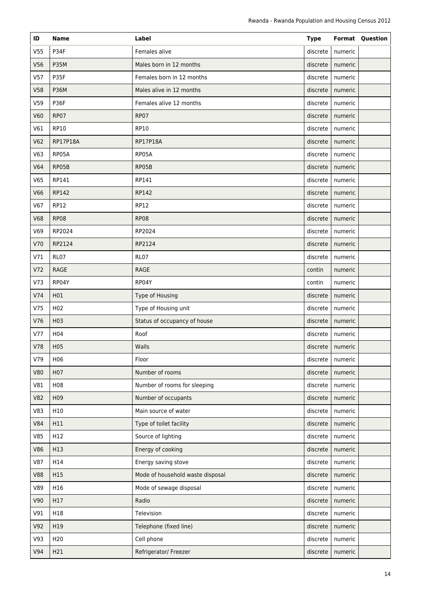| ID              | <b>Name</b>      | Label                            | <b>Type</b> |                    | <b>Format Question</b> |
|-----------------|------------------|----------------------------------|-------------|--------------------|------------------------|
| V <sub>55</sub> | P34F             | Females alive                    | discrete    | numeric            |                        |
| V56             | <b>P35M</b>      | Males born in 12 months          | discrete    | numeric            |                        |
| V57             | P35F             | Females born in 12 months        | discrete    | numeric            |                        |
| V58             | <b>P36M</b>      | Males alive in 12 months         | discrete    | numeric            |                        |
| V59             | P36F             | Females alive 12 months          | discrete    | numeric            |                        |
| V60             | <b>RP07</b>      | <b>RP07</b>                      | discrete    | numeric            |                        |
| V61             | <b>RP10</b>      | <b>RP10</b>                      | discrete    | numeric            |                        |
| V62             | RP17P18A         | <b>RP17P18A</b>                  | discrete    | numeric            |                        |
| V63             | RP05A            | RP05A                            | discrete    | numeric            |                        |
| V64             | RP05B            | RP05B                            | discrete    | numeric            |                        |
| V65             | RP141            | RP141                            | discrete    | numeric            |                        |
| V66             | RP142            | RP142                            | discrete    | numeric            |                        |
| V67             | RP12             | <b>RP12</b>                      | discrete    | numeric            |                        |
| <b>V68</b>      | <b>RP08</b>      | <b>RP08</b>                      | discrete    | numeric            |                        |
| V69             | RP2024           | RP2024                           | discrete    | numeric            |                        |
| V70             | RP2124           | RP2124                           | discrete    | numeric            |                        |
| V71             | RL07             | RL07                             | discrete    | numeric            |                        |
| V <sub>72</sub> | RAGE             | <b>RAGE</b>                      | contin      | numeric            |                        |
| V73             | RP04Y            | RP04Y                            | contin      | numeric            |                        |
| V74             | H01              | Type of Housing                  | discrete    | numeric            |                        |
| V75             | H <sub>02</sub>  | Type of Housing unit             | discrete    | numeric            |                        |
| V76             | H03              | Status of occupancy of house     | discrete    | numeric            |                        |
| V77             | H <sub>0</sub> 4 | Roof                             | discrete    | numeric            |                        |
| V78             | H <sub>0</sub> 5 | Walls                            |             | discrete   numeric |                        |
| V79             | H06              | Floor                            | discrete    | numeric            |                        |
| <b>V80</b>      | H <sub>0</sub> 7 | Number of rooms                  | discrete    | numeric            |                        |
| V81             | H08              | Number of rooms for sleeping     | discrete    | numeric            |                        |
| <b>V82</b>      | H <sub>09</sub>  | Number of occupants              | discrete    | numeric            |                        |
| V83             | H10              | Main source of water             | discrete    | numeric            |                        |
| <b>V84</b>      | H11              | Type of toilet facility          | discrete    | numeric            |                        |
| V85             | H12              | Source of lighting               | discrete    | numeric            |                        |
| <b>V86</b>      | H13              | Energy of cooking                | discrete    | numeric            |                        |
| <b>V87</b>      | H14              | Energy saving stove              | discrete    | numeric            |                        |
| <b>V88</b>      | H15              | Mode of household waste disposal | discrete    | numeric            |                        |
| V89             | H16              | Mode of sewage disposal          | discrete    | numeric            |                        |
| V90             | H17              | Radio                            | discrete    | numeric            |                        |
| V91             | H18              | Television                       | discrete    | numeric            |                        |
| V92             | H19              | Telephone (fixed line)           | discrete    | numeric            |                        |
| V93             | H <sub>20</sub>  | Cell phone                       | discrete    | numeric            |                        |
| V94             | H21              | Refrigerator/ Freezer            | discrete    | numeric            |                        |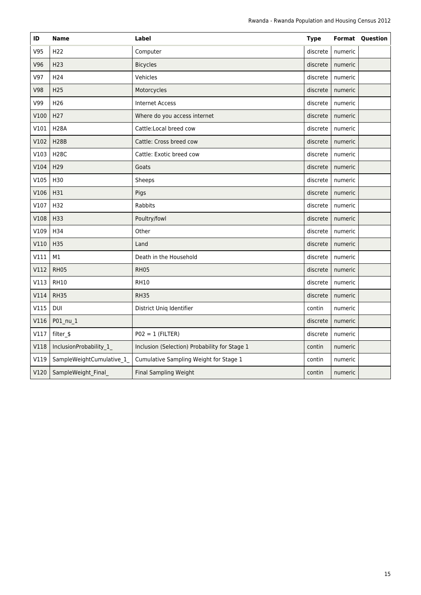| ID          | <b>Name</b>               | Label                                         | <b>Type</b> |         | <b>Format Question</b> |
|-------------|---------------------------|-----------------------------------------------|-------------|---------|------------------------|
| V95         | H <sub>22</sub>           | Computer                                      | discrete    | numeric |                        |
| V96         | H <sub>23</sub>           | <b>Bicycles</b>                               | discrete    | numeric |                        |
| V97         | H <sub>24</sub>           | Vehicles                                      | discrete    | numeric |                        |
| <b>V98</b>  | H <sub>25</sub>           | Motorcycles                                   | discrete    | numeric |                        |
| V99         | H <sub>26</sub>           | <b>Internet Access</b>                        | discrete    | numeric |                        |
| V100        | H <sub>27</sub>           | Where do you access internet                  | discrete    | numeric |                        |
| V101        | <b>H28A</b>               | Cattle:Local breed cow                        | discrete    | numeric |                        |
| V102        | <b>H28B</b>               | Cattle: Cross breed cow                       | discrete    | numeric |                        |
| V103        | <b>H28C</b>               | Cattle: Exotic breed cow                      | discrete    | numeric |                        |
| V104        | H <sub>29</sub>           | Goats                                         | discrete    | numeric |                        |
| V105        | H30                       | Sheeps                                        | discrete    | numeric |                        |
| V106        | H31                       | Pigs                                          | discrete    | numeric |                        |
| V107        | H32                       | Rabbits                                       | discrete    | numeric |                        |
| V108        | H33                       | Poultry/fowl                                  | discrete    | numeric |                        |
| V109        | H34                       | Other                                         | discrete    | numeric |                        |
| V110        | H35                       | Land                                          | discrete    | numeric |                        |
| V111        | M1                        | Death in the Household                        | discrete    | numeric |                        |
| V112        | <b>RH05</b>               | <b>RH05</b>                                   | discrete    | numeric |                        |
| V113        | <b>RH10</b>               | <b>RH10</b>                                   | discrete    | numeric |                        |
| V114        | <b>RH35</b>               | <b>RH35</b>                                   | discrete    | numeric |                        |
| V115        | <b>DUI</b>                | District Uniq Identifier                      | contin      | numeric |                        |
| V116        | P01_nu_1                  |                                               | discrete    | numeric |                        |
| V117        | filter_\$                 | $PO2 = 1$ (FILTER)                            | discrete    | numeric |                        |
| <b>V118</b> | InclusionProbability_1    | Inclusion (Selection) Probability for Stage 1 | contin      | numeric |                        |
| V119        | SampleWeightCumulative_1_ | Cumulative Sampling Weight for Stage 1        | contin      | numeric |                        |
| V120        | SampleWeight_Final_       | Final Sampling Weight                         | contin      | numeric |                        |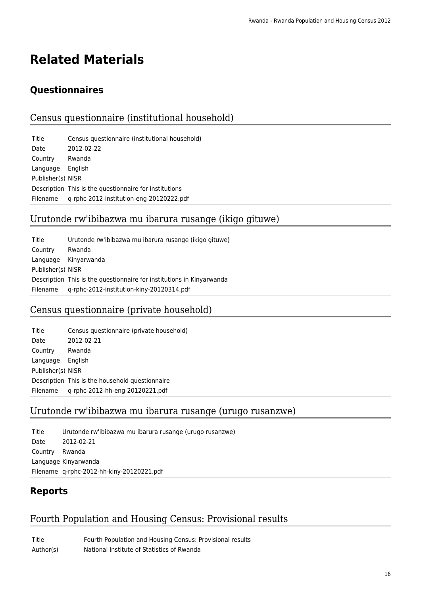# **Related Materials**

# **Questionnaires**

### Census questionnaire (institutional household)

| Title             | Census questionnaire (institutional household)         |
|-------------------|--------------------------------------------------------|
| Date              | 2012-02-22                                             |
| Country           | Rwanda                                                 |
| Language          | English                                                |
| Publisher(s) NISR |                                                        |
|                   | Description This is the questionnaire for institutions |
| Filename          | q-rphc-2012-institution-eng-20120222.pdf               |

### Urutonde rw'ibibazwa mu ibarura rusange (ikigo gituwe)

| Title             | Urutonde rw'ibibazwa mu ibarura rusange (ikigo gituwe)                |
|-------------------|-----------------------------------------------------------------------|
| Country           | Rwanda                                                                |
|                   | Language Kinyarwanda                                                  |
| Publisher(s) NISR |                                                                       |
|                   | Description This is the questionnaire for institutions in Kinyarwanda |
| Filename          | q-rphc-2012-institution-kiny-20120314.pdf                             |

### Census questionnaire (private household)

| Census questionnaire (private household)        |
|-------------------------------------------------|
| 2012-02-21                                      |
| Rwanda                                          |
| English                                         |
| Publisher(s) NISR                               |
| Description This is the household questionnaire |
| q-rphc-2012-hh-eng-20120221.pdf                 |
|                                                 |

### Urutonde rw'ibibazwa mu ibarura rusange (urugo rusanzwe)

Title Urutonde rw'ibibazwa mu ibarura rusange (urugo rusanzwe) Date 2012-02-21 Country Rwanda Language Kinyarwanda Filename q-rphc-2012-hh-kiny-20120221.pdf

# **Reports**

### Fourth Population and Housing Census: Provisional results

Title Fourth Population and Housing Census: Provisional results Author(s) National Institute of Statistics of Rwanda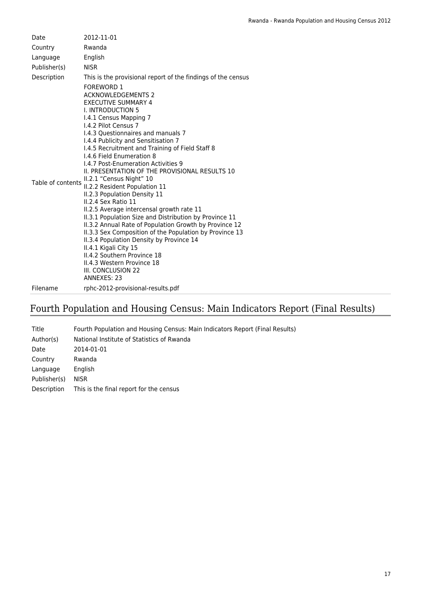| Date              | 2012-11-01                                                                                                                                                                                                                                                                                                                                                                                                                                                                              |
|-------------------|-----------------------------------------------------------------------------------------------------------------------------------------------------------------------------------------------------------------------------------------------------------------------------------------------------------------------------------------------------------------------------------------------------------------------------------------------------------------------------------------|
| Country           | Rwanda                                                                                                                                                                                                                                                                                                                                                                                                                                                                                  |
| Language          | English                                                                                                                                                                                                                                                                                                                                                                                                                                                                                 |
| Publisher(s)      | <b>NISR</b>                                                                                                                                                                                                                                                                                                                                                                                                                                                                             |
| Description       | This is the provisional report of the findings of the census<br><b>FOREWORD 1</b><br><b>ACKNOWLEDGEMENTS 2</b><br><b>EXECUTIVE SUMMARY 4</b><br><b>I. INTRODUCTION 5</b><br>1.4.1 Census Mapping 7                                                                                                                                                                                                                                                                                      |
|                   | 1.4.2 Pilot Census 7<br>I.4.3 Questionnaires and manuals 7<br>I.4.4 Publicity and Sensitisation 7<br>I.4.5 Recruitment and Training of Field Staff 8<br>1.4.6 Field Enumeration 8<br>I.4.7 Post-Enumeration Activities 9<br>II. PRESENTATION OF THE PROVISIONAL RESULTS 10<br>II.2.1 "Census Night" 10                                                                                                                                                                                  |
| Table of contents | II.2.2 Resident Population 11<br>II.2.3 Population Density 11<br>II.2.4 Sex Ratio 11<br>II.2.5 Average intercensal growth rate 11<br>II.3.1 Population Size and Distribution by Province 11<br>II.3.2 Annual Rate of Population Growth by Province 12<br>II.3.3 Sex Composition of the Population by Province 13<br>II.3.4 Population Density by Province 14<br>II.4.1 Kigali City 15<br>II.4.2 Southern Province 18<br>II.4.3 Western Province 18<br>III. CONCLUSION 22<br>ANNEXES: 23 |
| Filename          | rphc-2012-provisional-results.pdf                                                                                                                                                                                                                                                                                                                                                                                                                                                       |

# Fourth Population and Housing Census: Main Indicators Report (Final Results)

| Title        | Fourth Population and Housing Census: Main Indicators Report (Final Results) |
|--------------|------------------------------------------------------------------------------|
| Author(s)    | National Institute of Statistics of Rwanda                                   |
| Date         | 2014-01-01                                                                   |
| Country      | Rwanda                                                                       |
| Language     | English                                                                      |
| Publisher(s) | <b>NISR</b>                                                                  |
| Description  | This is the final report for the census                                      |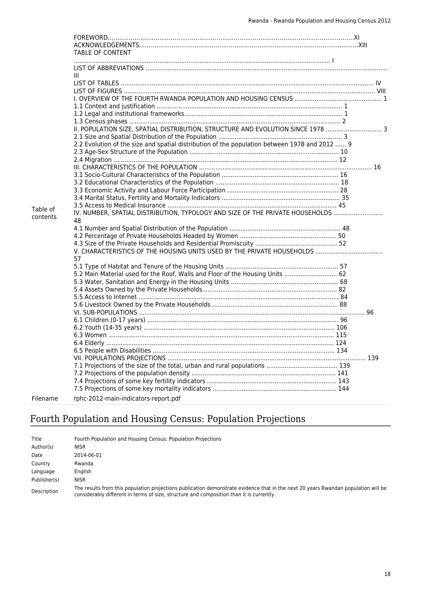|          | <b>TABLE OF CONTENT</b>                                                                       |  |
|----------|-----------------------------------------------------------------------------------------------|--|
|          |                                                                                               |  |
|          | Ш                                                                                             |  |
|          |                                                                                               |  |
|          |                                                                                               |  |
|          |                                                                                               |  |
|          |                                                                                               |  |
|          |                                                                                               |  |
|          | II. POPULATION SIZE, SPATIAL DISTRIBUTION, STRUCTURE AND EVOLUTION SINCE 1978  3              |  |
|          |                                                                                               |  |
|          | 2.2 Evolution of the size and spatial distribution of the population between 1978 and 2012  9 |  |
|          |                                                                                               |  |
|          |                                                                                               |  |
|          |                                                                                               |  |
|          |                                                                                               |  |
|          |                                                                                               |  |
|          |                                                                                               |  |
|          |                                                                                               |  |
| Table of |                                                                                               |  |
| contents | IV. NUMBER, SPATIAL DISTRIBUTION, TYPOLOGY AND SIZE OF THE PRIVATE HOUSEHOLDS                 |  |
|          | 48                                                                                            |  |
|          |                                                                                               |  |
|          |                                                                                               |  |
|          |                                                                                               |  |
|          | 57                                                                                            |  |
|          |                                                                                               |  |
|          | 5.2 Main Material used for the Roof, Walls and Floor of the Housing Units  62                 |  |
|          |                                                                                               |  |
|          |                                                                                               |  |
|          |                                                                                               |  |
|          |                                                                                               |  |
|          |                                                                                               |  |
|          |                                                                                               |  |
|          |                                                                                               |  |
|          |                                                                                               |  |
|          |                                                                                               |  |
|          |                                                                                               |  |
|          |                                                                                               |  |
|          |                                                                                               |  |
|          |                                                                                               |  |
|          |                                                                                               |  |
|          |                                                                                               |  |
| Filename | rphc-2012-main-indicators-report.pdf                                                          |  |

# Fourth Population and Housing Census: Population Projections

| Title        | Fourth Population and Housing Census: Population Projections                                                                                                                                                                   |
|--------------|--------------------------------------------------------------------------------------------------------------------------------------------------------------------------------------------------------------------------------|
| Author(s)    | <b>NISR</b>                                                                                                                                                                                                                    |
| Date         | 2014-06-01                                                                                                                                                                                                                     |
| Country      | Rwanda                                                                                                                                                                                                                         |
| Language     | English                                                                                                                                                                                                                        |
| Publisher(s) | <b>NISR</b>                                                                                                                                                                                                                    |
| Description  | The results from this population projections publication demonstrate evidence that in the next 20 years Rwandan population will be<br>considerably different in terms of size, structure and composition than it is currently. |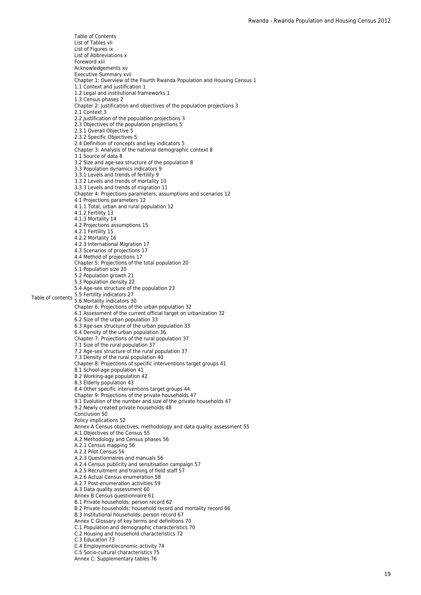Table of contents 5.5 Fertility indicators 27 Table of Contents List of Tables vii List of Figures ix List of Abbreviations x Foreword xiii Acknowledgements xv Executive Summary xvii Chapter 1: Overview of the Fourth Rwanda Population and Housing Census 1 1.1 Context and justification 1 1.2 Legal and institutional frameworks 1 1.3 Census phases 2 Chapter 2: Justification and objectives of the population projections 3 2.1 Context 3 2.2 Justification of the population projections 3 2.3 Objectives of the population projections 5 2.3.1 Overall Objective 5 2.3.2 Specific Objectives 5 2.4 Definition of concepts and key indicators 5 Chapter 3: Analysis of the national demographic context 8 3.1 Source of data 8 3.2 Size and age-sex structure of the population 8 3.3 Population dynamics indicators 9 3.3.1 Levels and trends of fertility 9 3.3.2 Levels and trends of mortality 10 3.3.3 Levels and trends of migration 11 Chapter 4: Projections parameters, assumptions and scenarios 12 4.1 Projections parameters 12 4.1.1 Total, urban and rural population 12 4.1.2 Fertility 13 4.1.3 Mortality 14 4.2 Projections assumptions 15 4.2.1 Fertility 15 4.2.2 Mortality 16 4.2.3 International Migration 17 4.3 Scenarios of projections 17 4.4 Method of projections 17 Chapter 5: Projections of the total population 20 5.1 Population size 20 5.2 Population growth 21 5.3 Population density 22 5.4 Age-sex structure of the population 23<br>5.5 Fertility indicators 27 5.6 Mortality indicators 30 Chapter 6: Projections of the urban population 32 6.1 Assessment of the current official target on urbanization 32 6.2 Size of the urban population 33 6.3 Age-sex structure of the urban population 33 6.4 Density of the urban population 36 Chapter 7: Projections of the rural population 37 7.1 Size of the rural population 37 7.2 Age-sex structure of the rural population 37 7.3 Density of the rural population 40 Chapter 8: Projections of specific interventions target groups 41 8.1 School-age population 41 8.2 Working-age population 42 8.3 Elderly population 43 8.4 Other specific interventions target groups 44 Chapter 9: Projections of the private households 47 9.1 Evolution of the number and size of the private households 47 9.2 Newly created private households 48 Conclusion 50 Policy implications 52 Annex A Census objectives, methodology and data quality assessment 55 A.1 Objectives of the Census 55 A.2 Methodology and Census phases 56 A.2.1 Census mapping 56 A.2.2 Pilot Census 56 A.2.3 Questionnaires and manuals 56 A.2.4 Census publicity and sensitisation campaign 57 A.2.5 Recruitment and training of field staff 57 A.2.6 Actual Census enumeration 58 A.2.7 Post-enumeration activities 59 A.3 Data quality assessment 60 Annex B Census questionnaire 61 B.1 Private households: person record 62 B.2 Private households: household record and mortality record 66 B.3 Institutional households: person record 67 Annex C Glossary of key terms and definitions 70 C.1 Population and demographic characteristics 70 C.2 Housing and household characteristics 72 C.3 Education 73 C.4 Employment/economic activity 74 C.5 Socio-cultural characteristics 75

Annex C: Supplementary tables 76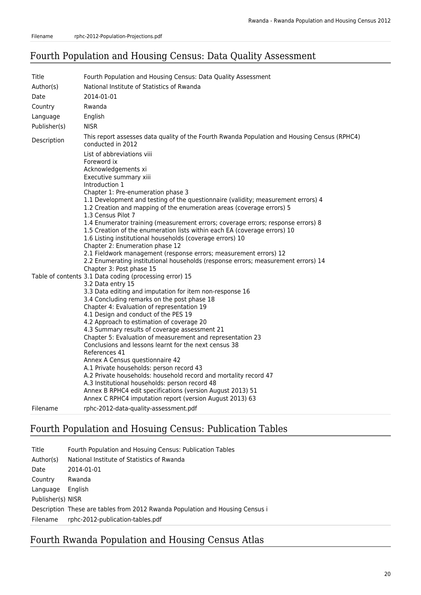### Fourth Population and Housing Census: Data Quality Assessment

| Title        | Fourth Population and Housing Census: Data Quality Assessment                                                                                                                                                                                                                                                                                                                                                                                                                                                                                                                                                                                                                                                                                                                                                                                      |
|--------------|----------------------------------------------------------------------------------------------------------------------------------------------------------------------------------------------------------------------------------------------------------------------------------------------------------------------------------------------------------------------------------------------------------------------------------------------------------------------------------------------------------------------------------------------------------------------------------------------------------------------------------------------------------------------------------------------------------------------------------------------------------------------------------------------------------------------------------------------------|
| Author(s)    | National Institute of Statistics of Rwanda                                                                                                                                                                                                                                                                                                                                                                                                                                                                                                                                                                                                                                                                                                                                                                                                         |
| Date         | 2014-01-01                                                                                                                                                                                                                                                                                                                                                                                                                                                                                                                                                                                                                                                                                                                                                                                                                                         |
| Country      | Rwanda                                                                                                                                                                                                                                                                                                                                                                                                                                                                                                                                                                                                                                                                                                                                                                                                                                             |
| Language     | English                                                                                                                                                                                                                                                                                                                                                                                                                                                                                                                                                                                                                                                                                                                                                                                                                                            |
| Publisher(s) | <b>NISR</b>                                                                                                                                                                                                                                                                                                                                                                                                                                                                                                                                                                                                                                                                                                                                                                                                                                        |
| Description  | This report assesses data quality of the Fourth Rwanda Population and Housing Census (RPHC4)<br>conducted in 2012                                                                                                                                                                                                                                                                                                                                                                                                                                                                                                                                                                                                                                                                                                                                  |
|              | List of abbreviations viii<br>Foreword ix<br>Acknowledgements xi<br>Executive summary xiii<br>Introduction 1<br>Chapter 1: Pre-enumeration phase 3<br>1.1 Development and testing of the questionnaire (validity; measurement errors) 4<br>1.2 Creation and mapping of the enumeration areas (coverage errors) 5<br>1.3 Census Pilot 7<br>1.4 Enumerator training (measurement errors; coverage errors; response errors) 8<br>1.5 Creation of the enumeration lists within each EA (coverage errors) 10<br>1.6 Listing institutional households (coverage errors) 10<br>Chapter 2: Enumeration phase 12<br>2.1 Fieldwork management (response errors; measurement errors) 12<br>2.2 Enumerating institutional households (response errors; measurement errors) 14<br>Chapter 3: Post phase 15                                                      |
|              | Table of contents 3.1 Data coding (processing error) 15<br>3.2 Data entry 15<br>3.3 Data editing and imputation for item non-response 16<br>3.4 Concluding remarks on the post phase 18<br>Chapter 4: Evaluation of representation 19<br>4.1 Design and conduct of the PES 19<br>4.2 Approach to estimation of coverage 20<br>4.3 Summary results of coverage assessment 21<br>Chapter 5: Evaluation of measurement and representation 23<br>Conclusions and lessons learnt for the next census 38<br>References 41<br>Annex A Census questionnaire 42<br>A.1 Private households: person record 43<br>A.2 Private households: household record and mortality record 47<br>A.3 Institutional households: person record 48<br>Annex B RPHC4 edit specifications (version August 2013) 51<br>Annex C RPHC4 imputation report (version August 2013) 63 |
| Filename     | rphc-2012-data-quality-assessment.pdf                                                                                                                                                                                                                                                                                                                                                                                                                                                                                                                                                                                                                                                                                                                                                                                                              |

# Fourth Population and Hosuing Census: Publication Tables

| Title             | Fourth Population and Hosuing Census: Publication Tables                      |
|-------------------|-------------------------------------------------------------------------------|
| Author(s)         | National Institute of Statistics of Rwanda                                    |
| Date              | 2014-01-01                                                                    |
| Country           | Rwanda                                                                        |
| Language          | English                                                                       |
| Publisher(s) NISR |                                                                               |
|                   | Description These are tables from 2012 Rwanda Population and Housing Census i |
| Filename          | rphc-2012-publication-tables.pdf                                              |

# Fourth Rwanda Population and Housing Census Atlas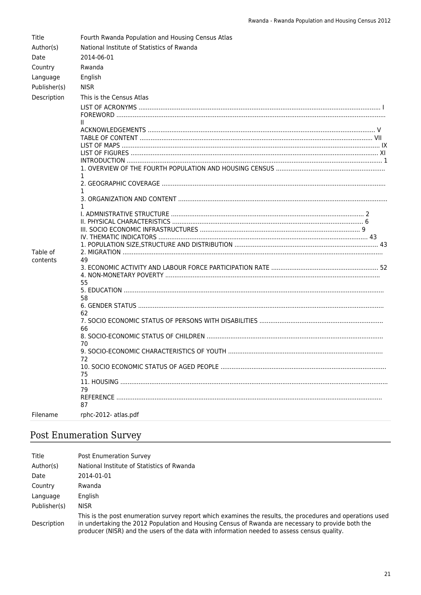| Title        | Fourth Rwanda Population and Housing Census Atlas |  |
|--------------|---------------------------------------------------|--|
| Author(s)    | National Institute of Statistics of Rwanda        |  |
| Date         | 2014-06-01                                        |  |
| Country      | Rwanda                                            |  |
| Language     | English                                           |  |
| Publisher(s) | <b>NISR</b>                                       |  |
| Description  | This is the Census Atlas                          |  |
|              |                                                   |  |
|              |                                                   |  |
|              |                                                   |  |
|              |                                                   |  |
|              |                                                   |  |
|              |                                                   |  |
|              |                                                   |  |
|              |                                                   |  |
|              |                                                   |  |
|              |                                                   |  |
|              |                                                   |  |
|              | 1.                                                |  |
|              |                                                   |  |
|              |                                                   |  |
|              |                                                   |  |
|              |                                                   |  |
| Table of     |                                                   |  |
| contents     | 49                                                |  |
|              |                                                   |  |
|              |                                                   |  |
|              | 55                                                |  |
|              | 58                                                |  |
|              |                                                   |  |
|              | 62                                                |  |
|              |                                                   |  |
|              | 66                                                |  |
|              | 70                                                |  |
|              |                                                   |  |
|              | 72                                                |  |
|              |                                                   |  |
|              | 75                                                |  |
|              | 79                                                |  |
|              |                                                   |  |
|              | 87                                                |  |
| Filename     | rphc-2012- atlas.pdf                              |  |

# Post Enumeration Survey

| Title        | <b>Post Enumeration Survey</b>                                                                                                                                                                                                                                                                                |
|--------------|---------------------------------------------------------------------------------------------------------------------------------------------------------------------------------------------------------------------------------------------------------------------------------------------------------------|
| Author(s)    | National Institute of Statistics of Rwanda                                                                                                                                                                                                                                                                    |
| Date         | 2014-01-01                                                                                                                                                                                                                                                                                                    |
| Country      | Rwanda                                                                                                                                                                                                                                                                                                        |
| Language     | English                                                                                                                                                                                                                                                                                                       |
| Publisher(s) | <b>NISR</b>                                                                                                                                                                                                                                                                                                   |
| Description  | This is the post enumeration survey report which examines the results, the procedures and operations used<br>in undertaking the 2012 Population and Housing Census of Rwanda are necessary to provide both the<br>producer (NISR) and the users of the data with information needed to assess census quality. |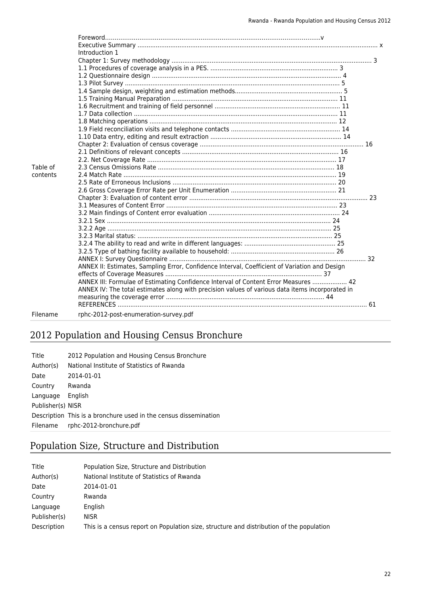|          | Introduction 1                                                                                  |  |
|----------|-------------------------------------------------------------------------------------------------|--|
|          |                                                                                                 |  |
|          |                                                                                                 |  |
|          |                                                                                                 |  |
|          |                                                                                                 |  |
|          |                                                                                                 |  |
|          |                                                                                                 |  |
|          |                                                                                                 |  |
|          |                                                                                                 |  |
|          |                                                                                                 |  |
|          |                                                                                                 |  |
|          |                                                                                                 |  |
|          |                                                                                                 |  |
|          |                                                                                                 |  |
|          |                                                                                                 |  |
|          |                                                                                                 |  |
| Table of |                                                                                                 |  |
| contents |                                                                                                 |  |
|          |                                                                                                 |  |
|          |                                                                                                 |  |
|          |                                                                                                 |  |
|          |                                                                                                 |  |
|          |                                                                                                 |  |
|          |                                                                                                 |  |
|          |                                                                                                 |  |
|          |                                                                                                 |  |
|          |                                                                                                 |  |
|          |                                                                                                 |  |
|          |                                                                                                 |  |
|          | ANNEX II: Estimates, Sampling Error, Confidence Interval, Coefficient of Variation and Design   |  |
|          |                                                                                                 |  |
|          | ANNEX III: Formulae of Estimating Confidence Interval of Content Error Measures  42             |  |
|          | ANNEX IV: The total estimates along with precision values of various data items incorporated in |  |
|          |                                                                                                 |  |
|          |                                                                                                 |  |
| Filename |                                                                                                 |  |
|          | rphc-2012-post-enumeration-survey.pdf                                                           |  |

# 2012 Population and Housing Census Bronchure

| Title             | 2012 Population and Housing Census Bronchure                     |
|-------------------|------------------------------------------------------------------|
| Author(s)         | National Institute of Statistics of Rwanda                       |
| Date              | 2014-01-01                                                       |
| Country           | Rwanda                                                           |
| Language          | English                                                          |
| Publisher(s) NISR |                                                                  |
|                   | Description This is a bronchure used in the census dissemination |
| Filename          | rphc-2012-bronchure.pdf                                          |

# Population Size, Structure and Distribution

| Title        | Population Size, Structure and Distribution                                              |
|--------------|------------------------------------------------------------------------------------------|
| Author(s)    | National Institute of Statistics of Rwanda                                               |
| Date         | 2014-01-01                                                                               |
| Country      | Rwanda                                                                                   |
| Language     | English                                                                                  |
| Publisher(s) | <b>NISR</b>                                                                              |
| Description  | This is a census report on Population size, structure and distribution of the population |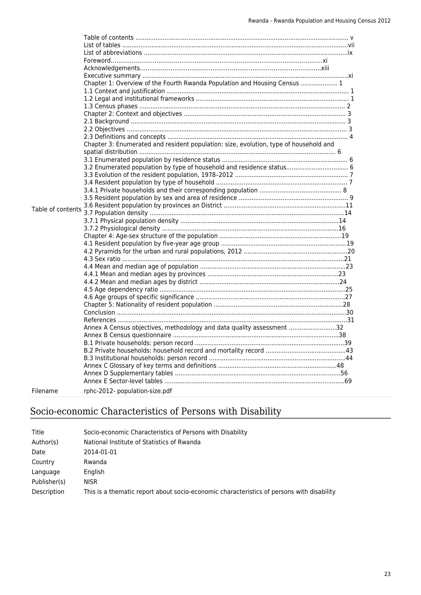|                   | Chapter 1: Overview of the Fourth Rwanda Population and Housing Census  1             |  |
|-------------------|---------------------------------------------------------------------------------------|--|
|                   |                                                                                       |  |
|                   |                                                                                       |  |
|                   |                                                                                       |  |
|                   |                                                                                       |  |
|                   |                                                                                       |  |
|                   |                                                                                       |  |
|                   |                                                                                       |  |
|                   | Chapter 3: Enumerated and resident population: size, evolution, type of household and |  |
|                   |                                                                                       |  |
|                   |                                                                                       |  |
|                   | 3.2 Enumerated population by type of household and residence status 6                 |  |
|                   |                                                                                       |  |
|                   |                                                                                       |  |
|                   |                                                                                       |  |
|                   |                                                                                       |  |
|                   |                                                                                       |  |
| Table of contents |                                                                                       |  |
|                   |                                                                                       |  |
|                   |                                                                                       |  |
|                   |                                                                                       |  |
|                   |                                                                                       |  |
|                   |                                                                                       |  |
|                   |                                                                                       |  |
|                   |                                                                                       |  |
|                   |                                                                                       |  |
|                   |                                                                                       |  |
|                   |                                                                                       |  |
|                   |                                                                                       |  |
|                   |                                                                                       |  |
|                   |                                                                                       |  |
|                   |                                                                                       |  |
|                   | Annex A Census objectives, methodology and data quality assessment 32                 |  |
|                   |                                                                                       |  |
|                   |                                                                                       |  |
|                   |                                                                                       |  |
|                   |                                                                                       |  |
|                   |                                                                                       |  |
|                   |                                                                                       |  |
|                   |                                                                                       |  |
| Filename          | rphc-2012- population-size.pdf                                                        |  |
|                   |                                                                                       |  |

# Socio-economic Characteristics of Persons with Disability

| Title        | Socio-economic Characteristics of Persons with Disability                                 |
|--------------|-------------------------------------------------------------------------------------------|
| Author(s)    | National Institute of Statistics of Rwanda                                                |
| Date         | 2014-01-01                                                                                |
| Country      | Rwanda                                                                                    |
| Language     | English                                                                                   |
| Publisher(s) | <b>NISR</b>                                                                               |
| Description  | This is a thematic report about socio-economic characteristics of persons with disability |
|              |                                                                                           |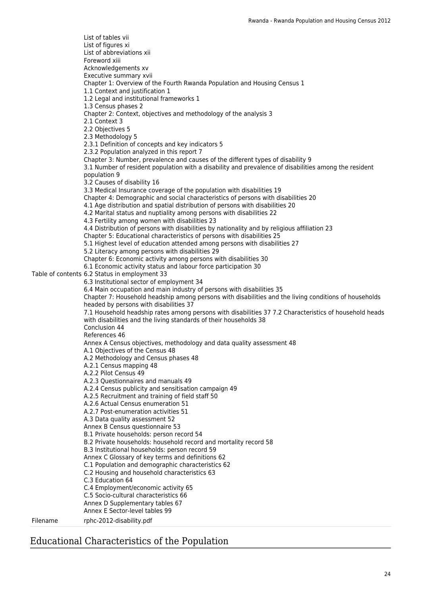Table of contents 6.2 Status in employment 33 List of tables vii List of figures xi List of abbreviations xii Foreword xiii Acknowledgements xv Executive summary xvii Chapter 1: Overview of the Fourth Rwanda Population and Housing Census 1 1.1 Context and justification 1 1.2 Legal and institutional frameworks 1 1.3 Census phases 2 Chapter 2: Context, objectives and methodology of the analysis 3 2.1 Context 3 2.2 Objectives 5 2.3 Methodology 5 2.3.1 Definition of concepts and key indicators 5 2.3.2 Population analyzed in this report 7 Chapter 3: Number, prevalence and causes of the different types of disability 9 3.1 Number of resident population with a disability and prevalence of disabilities among the resident population 9 3.2 Causes of disability 16 3.3 Medical Insurance coverage of the population with disabilities 19 Chapter 4: Demographic and social characteristics of persons with disabilities 20 4.1 Age distribution and spatial distribution of persons with disabilities 20 4.2 Marital status and nuptiality among persons with disabilities 22 4.3 Fertility among women with disabilities 23 4.4 Distribution of persons with disabilities by nationality and by religious affiliation 23 Chapter 5: Educational characteristics of persons with disabilities 25 5.1 Highest level of education attended among persons with disabilities 27 5.2 Literacy among persons with disabilities 29 Chapter 6: Economic activity among persons with disabilities 30 6.1 Economic activity status and labour force participation 30 6.3 Institutional sector of employment 34 6.4 Main occupation and main industry of persons with disabilities 35 Chapter 7: Household headship among persons with disabilities and the living conditions of households headed by persons with disabilities 37 7.1 Household headship rates among persons with disabilities 37 7.2 Characteristics of household heads with disabilities and the living standards of their households 38 Conclusion 44 References 46 Annex A Census objectives, methodology and data quality assessment 48 A.1 Objectives of the Census 48 A.2 Methodology and Census phases 48 A.2.1 Census mapping 48 A.2.2 Pilot Census 49 A.2.3 Questionnaires and manuals 49 A.2.4 Census publicity and sensitisation campaign 49 A.2.5 Recruitment and training of field staff 50 A.2.6 Actual Census enumeration 51 A.2.7 Post-enumeration activities 51 A.3 Data quality assessment 52 Annex B Census questionnaire 53 B.1 Private households: person record 54 B.2 Private households: household record and mortality record 58 B.3 Institutional households: person record 59 Annex C Glossary of key terms and definitions 62 C.1 Population and demographic characteristics 62 C.2 Housing and household characteristics 63 C.3 Education 64 C.4 Employment/economic activity 65 C.5 Socio-cultural characteristics 66 Annex D Supplementary tables 67 Annex E Sector-level tables 99 Filename rphc-2012-disability.pdf

### Educational Characteristics of the Population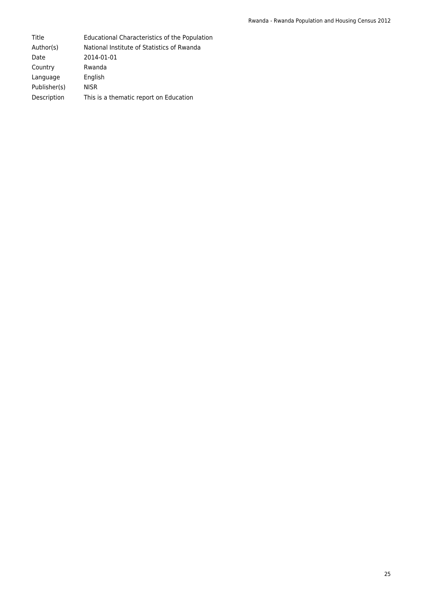Title Educational Characteristics of the Population Author(s) National Institute of Statistics of Rwanda Date 2014-01-01 Country Rwanda Language English Publisher(s) NISR Description This is a thematic report on Education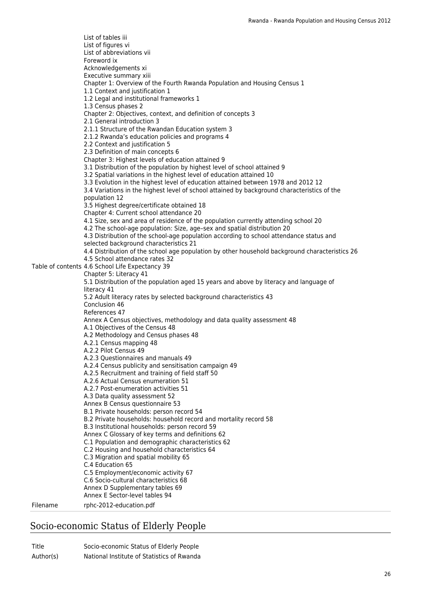Table of contents 4.6 School Life Expectancy 39 List of tables iii List of figures vi List of abbreviations vii Foreword ix Acknowledgements xi Executive summary xiii Chapter 1: Overview of the Fourth Rwanda Population and Housing Census 1 1.1 Context and justification 1 1.2 Legal and institutional frameworks 1 1.3 Census phases 2 Chapter 2: Objectives, context, and definition of concepts 3 2.1 General introduction 3 2.1.1 Structure of the Rwandan Education system 3 2.1.2 Rwanda's education policies and programs 4 2.2 Context and justification 5 2.3 Definition of main concepts 6 Chapter 3: Highest levels of education attained 9 3.1 Distribution of the population by highest level of school attained 9 3.2 Spatial variations in the highest level of education attained 10 3.3 Evolution in the highest level of education attained between 1978 and 2012 12 3.4 Variations in the highest level of school attained by background characteristics of the population 12 3.5 Highest degree/certificate obtained 18 Chapter 4: Current school attendance 20 4.1 Size, sex and area of residence of the population currently attending school 20 4.2 The school-age population: Size, age–sex and spatial distribution 20 4.3 Distribution of the school-age population according to school attendance status and selected background characteristics 21 4.4 Distribution of the school age population by other household background characteristics 26 4.5 School attendance rates 32 Chapter 5: Literacy 41 5.1 Distribution of the population aged 15 years and above by literacy and language of literacy 41 5.2 Adult literacy rates by selected background characteristics 43 Conclusion 46 References 47 Annex A Census objectives, methodology and data quality assessment 48 A.1 Objectives of the Census 48 A.2 Methodology and Census phases 48 A.2.1 Census mapping 48 A.2.2 Pilot Census 49 A.2.3 Questionnaires and manuals 49 A.2.4 Census publicity and sensitisation campaign 49 A.2.5 Recruitment and training of field staff 50 A.2.6 Actual Census enumeration 51 A.2.7 Post-enumeration activities 51 A.3 Data quality assessment 52 Annex B Census questionnaire 53 B.1 Private households: person record 54 B.2 Private households: household record and mortality record 58 B.3 Institutional households: person record 59 Annex C Glossary of key terms and definitions 62 C.1 Population and demographic characteristics 62 C.2 Housing and household characteristics 64 C.3 Migration and spatial mobility 65 C.4 Education 65 C.5 Employment/economic activity 67 C.6 Socio-cultural characteristics 68 Annex D Supplementary tables 69 Annex E Sector-level tables 94 Filename rphc-2012-education.pdf

### Socio-economic Status of Elderly People

| Title     | Socio-economic Status of Elderly People    |
|-----------|--------------------------------------------|
| Author(s) | National Institute of Statistics of Rwanda |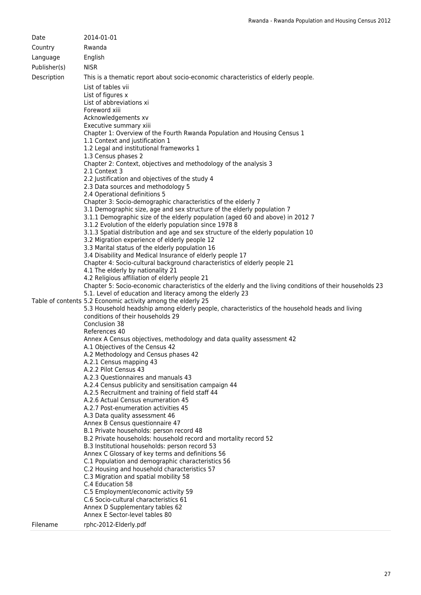| Date         | 2014-01-01                                                                                                                                                                                                                                                                                                                                                                                                                                                                                                                                                                                                                                                                                                                                                                                                                                                                                                                                                                                                                                                                                                                                                                                                                                                                                                                                                                                                                                                                                                                                                                                                                                                                                                                                                                                                                                                                                                                                                                                                                                                                                                                                                                                                                                                                                                                                                                                                                                                                                                                                                                                                                                                                                           |
|--------------|------------------------------------------------------------------------------------------------------------------------------------------------------------------------------------------------------------------------------------------------------------------------------------------------------------------------------------------------------------------------------------------------------------------------------------------------------------------------------------------------------------------------------------------------------------------------------------------------------------------------------------------------------------------------------------------------------------------------------------------------------------------------------------------------------------------------------------------------------------------------------------------------------------------------------------------------------------------------------------------------------------------------------------------------------------------------------------------------------------------------------------------------------------------------------------------------------------------------------------------------------------------------------------------------------------------------------------------------------------------------------------------------------------------------------------------------------------------------------------------------------------------------------------------------------------------------------------------------------------------------------------------------------------------------------------------------------------------------------------------------------------------------------------------------------------------------------------------------------------------------------------------------------------------------------------------------------------------------------------------------------------------------------------------------------------------------------------------------------------------------------------------------------------------------------------------------------------------------------------------------------------------------------------------------------------------------------------------------------------------------------------------------------------------------------------------------------------------------------------------------------------------------------------------------------------------------------------------------------------------------------------------------------------------------------------------------------|
| Country      | Rwanda                                                                                                                                                                                                                                                                                                                                                                                                                                                                                                                                                                                                                                                                                                                                                                                                                                                                                                                                                                                                                                                                                                                                                                                                                                                                                                                                                                                                                                                                                                                                                                                                                                                                                                                                                                                                                                                                                                                                                                                                                                                                                                                                                                                                                                                                                                                                                                                                                                                                                                                                                                                                                                                                                               |
| Language     | English                                                                                                                                                                                                                                                                                                                                                                                                                                                                                                                                                                                                                                                                                                                                                                                                                                                                                                                                                                                                                                                                                                                                                                                                                                                                                                                                                                                                                                                                                                                                                                                                                                                                                                                                                                                                                                                                                                                                                                                                                                                                                                                                                                                                                                                                                                                                                                                                                                                                                                                                                                                                                                                                                              |
| Publisher(s) | <b>NISR</b>                                                                                                                                                                                                                                                                                                                                                                                                                                                                                                                                                                                                                                                                                                                                                                                                                                                                                                                                                                                                                                                                                                                                                                                                                                                                                                                                                                                                                                                                                                                                                                                                                                                                                                                                                                                                                                                                                                                                                                                                                                                                                                                                                                                                                                                                                                                                                                                                                                                                                                                                                                                                                                                                                          |
| Description  | This is a thematic report about socio-economic characteristics of elderly people.                                                                                                                                                                                                                                                                                                                                                                                                                                                                                                                                                                                                                                                                                                                                                                                                                                                                                                                                                                                                                                                                                                                                                                                                                                                                                                                                                                                                                                                                                                                                                                                                                                                                                                                                                                                                                                                                                                                                                                                                                                                                                                                                                                                                                                                                                                                                                                                                                                                                                                                                                                                                                    |
|              | List of tables vii<br>List of figures x<br>List of abbreviations xi<br>Foreword xiii<br>Acknowledgements xv<br>Executive summary xiii<br>Chapter 1: Overview of the Fourth Rwanda Population and Housing Census 1<br>1.1 Context and justification 1<br>1.2 Legal and institutional frameworks 1<br>1.3 Census phases 2<br>Chapter 2: Context, objectives and methodology of the analysis 3<br>2.1 Context 3<br>2.2 Justification and objectives of the study 4<br>2.3 Data sources and methodology 5<br>2.4 Operational definitions 5<br>Chapter 3: Socio-demographic characteristics of the elderly 7<br>3.1 Demographic size, age and sex structure of the elderly population 7<br>3.1.1 Demographic size of the elderly population (aged 60 and above) in 2012 7<br>3.1.2 Evolution of the elderly population since 1978 8<br>3.1.3 Spatial distribution and age and sex structure of the elderly population 10<br>3.2 Migration experience of elderly people 12<br>3.3 Marital status of the elderly population 16<br>3.4 Disability and Medical Insurance of elderly people 17<br>Chapter 4: Socio-cultural background characteristics of elderly people 21<br>4.1 The elderly by nationality 21<br>4.2 Religious affiliation of elderly people 21<br>Chapter 5: Socio-economic characteristics of the elderly and the living conditions of their households 23<br>5.1. Level of education and literacy among the elderly 23<br>Table of contents 5.2 Economic activity among the elderly 25<br>5.3 Household headship among elderly people, characteristics of the household heads and living<br>conditions of their households 29<br>Conclusion 38<br>References 40<br>Annex A Census objectives, methodology and data quality assessment 42<br>A.1 Objectives of the Census 42<br>A.2 Methodology and Census phases 42<br>A.2.1 Census mapping 43<br>A.2.2 Pilot Census 43<br>A.2.3 Questionnaires and manuals 43<br>A.2.4 Census publicity and sensitisation campaign 44<br>A.2.5 Recruitment and training of field staff 44<br>A.2.6 Actual Census enumeration 45<br>A.2.7 Post-enumeration activities 45<br>A.3 Data quality assessment 46<br>Annex B Census questionnaire 47<br>B.1 Private households: person record 48<br>B.2 Private households: household record and mortality record 52<br>B.3 Institutional households: person record 53<br>Annex C Glossary of key terms and definitions 56<br>C.1 Population and demographic characteristics 56<br>C.2 Housing and household characteristics 57<br>C.3 Migration and spatial mobility 58<br>C.4 Education 58<br>C.5 Employment/economic activity 59<br>C.6 Socio-cultural characteristics 61<br>Annex D Supplementary tables 62 |
|              | Annex E Sector-level tables 80                                                                                                                                                                                                                                                                                                                                                                                                                                                                                                                                                                                                                                                                                                                                                                                                                                                                                                                                                                                                                                                                                                                                                                                                                                                                                                                                                                                                                                                                                                                                                                                                                                                                                                                                                                                                                                                                                                                                                                                                                                                                                                                                                                                                                                                                                                                                                                                                                                                                                                                                                                                                                                                                       |
| Filename     | rphc-2012-Elderly.pdf                                                                                                                                                                                                                                                                                                                                                                                                                                                                                                                                                                                                                                                                                                                                                                                                                                                                                                                                                                                                                                                                                                                                                                                                                                                                                                                                                                                                                                                                                                                                                                                                                                                                                                                                                                                                                                                                                                                                                                                                                                                                                                                                                                                                                                                                                                                                                                                                                                                                                                                                                                                                                                                                                |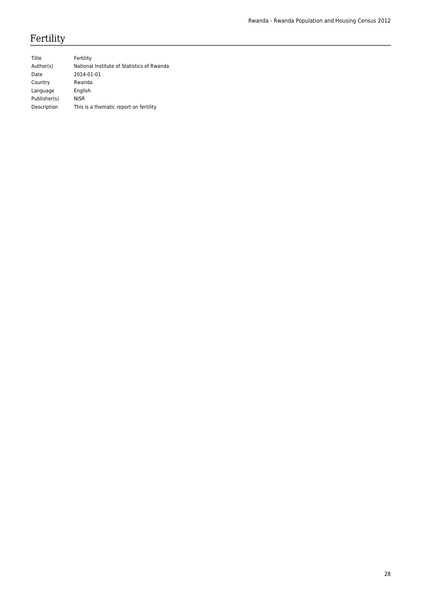# Fertility

| Title        | Fertility                                  |
|--------------|--------------------------------------------|
| Author(s)    | National Institute of Statistics of Rwanda |
| Date         | 2014-01-01                                 |
| Country      | Rwanda                                     |
| Language     | English                                    |
| Publisher(s) | <b>NISR</b>                                |
| Description  | This is a thematic report on fertility     |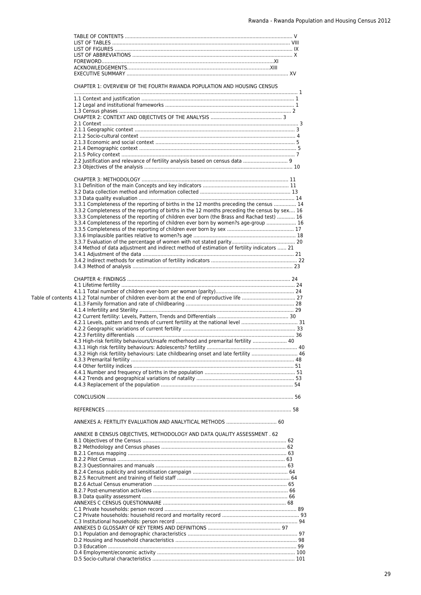|  | CHAPTER 1: OVERVIEW OF THE FOURTH RWANDA POPULATION AND HOUSING CENSUS                         |  |
|--|------------------------------------------------------------------------------------------------|--|
|  |                                                                                                |  |
|  |                                                                                                |  |
|  |                                                                                                |  |
|  |                                                                                                |  |
|  |                                                                                                |  |
|  |                                                                                                |  |
|  |                                                                                                |  |
|  |                                                                                                |  |
|  |                                                                                                |  |
|  | 2.2 Justification and relevance of fertility analysis based on census data  9                  |  |
|  |                                                                                                |  |
|  |                                                                                                |  |
|  |                                                                                                |  |
|  |                                                                                                |  |
|  |                                                                                                |  |
|  | 3.3.1 Completeness of the reporting of births in the 12 months preceding the census  14        |  |
|  | 3.3.2 Completeness of the reporting of births in the 12 months preceding the census by sex 16  |  |
|  | 3.3.3 Completeness of the reporting of children ever born (the Brass and Rachad test)  16      |  |
|  | 3.3.4 Completeness of the reporting of children ever born by women?s age-group  16             |  |
|  |                                                                                                |  |
|  |                                                                                                |  |
|  |                                                                                                |  |
|  | 3.4 Method of data adjustment and indirect method of estimation of fertility indicators  21    |  |
|  |                                                                                                |  |
|  |                                                                                                |  |
|  |                                                                                                |  |
|  |                                                                                                |  |
|  |                                                                                                |  |
|  |                                                                                                |  |
|  | Table of contents 4.1.2 Total number of children ever-born at the end of reproductive life  27 |  |
|  |                                                                                                |  |
|  |                                                                                                |  |
|  |                                                                                                |  |
|  |                                                                                                |  |
|  |                                                                                                |  |
|  | 4.3 High-risk fertility behaviours/Unsafe motherhood and premarital fertility  40              |  |
|  |                                                                                                |  |
|  | 4.3.2 High risk fertility behaviours: Late childbearing onset and late fertility  46           |  |
|  |                                                                                                |  |
|  |                                                                                                |  |
|  |                                                                                                |  |
|  |                                                                                                |  |
|  |                                                                                                |  |
|  |                                                                                                |  |
|  |                                                                                                |  |
|  |                                                                                                |  |
|  |                                                                                                |  |
|  | ANNEXES A: FERTILITY EVALUATION AND ANALYTICAL METHODS  60                                     |  |
|  | ANNEXE B CENSUS OBJECTIVES, METHODOLOGY AND DATA QUALITY ASSESSMENT . 62                       |  |
|  |                                                                                                |  |
|  |                                                                                                |  |
|  |                                                                                                |  |
|  |                                                                                                |  |
|  |                                                                                                |  |
|  |                                                                                                |  |
|  |                                                                                                |  |
|  |                                                                                                |  |
|  |                                                                                                |  |
|  |                                                                                                |  |
|  |                                                                                                |  |
|  |                                                                                                |  |
|  |                                                                                                |  |
|  |                                                                                                |  |
|  |                                                                                                |  |
|  |                                                                                                |  |
|  |                                                                                                |  |
|  |                                                                                                |  |
|  |                                                                                                |  |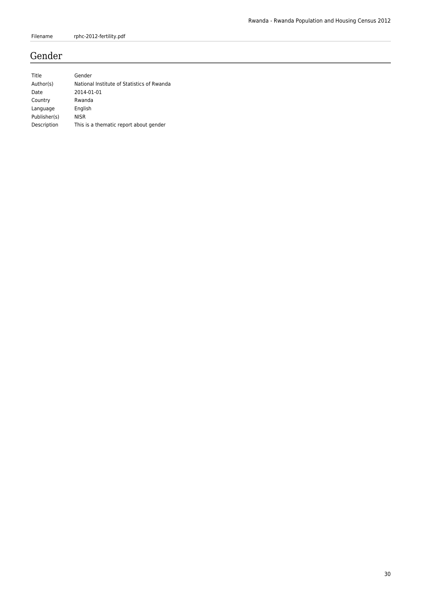# Gender

| Title        | Gender                                     |
|--------------|--------------------------------------------|
| Author(s)    | National Institute of Statistics of Rwanda |
| Date         | 2014-01-01                                 |
| Country      | Rwanda                                     |
| Language     | English                                    |
| Publisher(s) | <b>NISR</b>                                |
| Description  | This is a thematic report about gender     |
|              |                                            |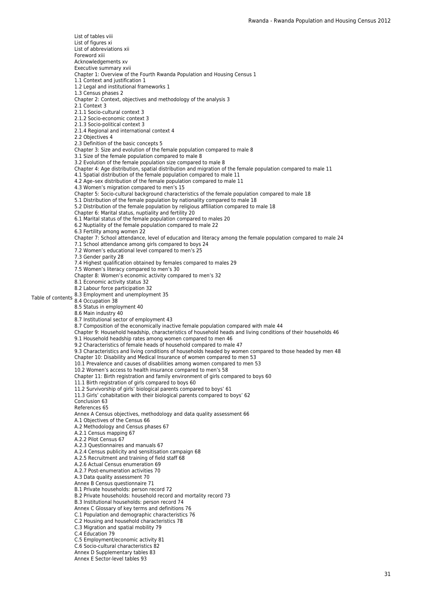Table of contents 8.3 Employment and unemployment 35 List of tables viii List of figures xi List of abbreviations xii Foreword xiii Acknowledgements xv Executive summary xvii Chapter 1: Overview of the Fourth Rwanda Population and Housing Census 1 1.1 Context and justification 1 1.2 Legal and institutional frameworks 1 1.3 Census phases 2 Chapter 2: Context, objectives and methodology of the analysis 3 2.1 Context 3 2.1.1 Socio-cultural context 3 2.1.2 Socio-economic context 3 2.1.3 Socio-political context 3 2.1.4 Regional and international context 4 2.2 Objectives 4 2.3 Definition of the basic concepts 5 Chapter 3: Size and evolution of the female population compared to male 8 3.1 Size of the female population compared to male 8 3.2 Evolution of the female population size compared to male 8 Chapter 4: Age distribution, spatial distribution and migration of the female population compared to male 11 4.1 Spatial distribution of the female population compared to male 11 4.2 Age–sex distribution of the female population compared to male 11 4.3 Women's migration compared to men's 15 Chapter 5: Socio-cultural background characteristics of the female population compared to male 18 5.1 Distribution of the female population by nationality compared to male 18 5.2 Distribution of the female population by religious affiliation compared to male 18 Chapter 6: Marital status, nuptiality and fertility 20 6.1 Marital status of the female population compared to males 20 6.2 Nuptiality of the female population compared to male 22 6.3 Fertility among women 22 Chapter 7: School attendance, level of education and literacy among the female population compared to male 24 7.1 School attendance among girls compared to boys 24 7.2 Women's educational level compared to men's 25 7.3 Gender parity 28 7.4 Highest qualification obtained by females compared to males 29 7.5 Women's literacy compared to men's 30 Chapter 8: Women's economic activity compared to men's 32 8.1 Economic activity status 32 8.2 Labour force participation 32 8.4 Occupation 38 8.5 Status in employment 40 8.6 Main industry 40 8.7 Institutional sector of employment 43 8.7 Composition of the economically inactive female population compared with male 44 Chapter 9: Household headship, characteristics of household heads and living conditions of their households 46 9.1 Household headship rates among women compared to men 46 9.2 Characteristics of female heads of household compared to male 47 9.3 Characteristics and living conditions of households headed by women compared to those headed by men 48 Chapter 10: Disability and Medical Insurance of women compared to men 53 10.1 Prevalence and causes of disabilities among women compared to men 53 10.2 Women's access to health insurance compared to men's 58 Chapter 11: Birth registration and family environment of girls compared to boys 60 11.1 Birth registration of girls compared to boys 60 11.2 Survivorship of girls' biological parents compared to boys' 61 11.3 Girls' cohabitation with their biological parents compared to boys' 62 Conclusion 63 References 65 Annex A Census objectives, methodology and data quality assessment 66 A.1 Objectives of the Census 66 A.2 Methodology and Census phases 67 A.2.1 Census mapping 67 A.2.2 Pilot Census 67 A.2.3 Questionnaires and manuals 67 A.2.4 Census publicity and sensitisation campaign 68 A.2.5 Recruitment and training of field staff 68 A.2.6 Actual Census enumeration 69 A.2.7 Post-enumeration activities 70 A.3 Data quality assessment 70 Annex B Census questionnaire 71 B.1 Private households: person record 72 B.2 Private households: household record and mortality record 73 B.3 Institutional households: person record 74 Annex C Glossary of key terms and definitions 76 C.1 Population and demographic characteristics 76 C.2 Housing and household characteristics 78 C.3 Migration and spatial mobility 79 C.4 Education 79 C.5 Employment/economic activity 81 C.6 Socio-cultural characteristics 82 Annex D Supplementary tables 83

Annex E Sector-level tables 93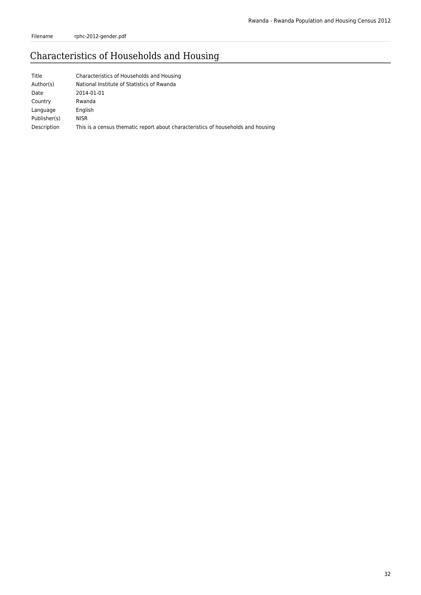Filename rphc-2012-gender.pdf

# Characteristics of Households and Housing

| Title        | Characteristics of Households and Housing                                        |
|--------------|----------------------------------------------------------------------------------|
| Author(s)    | National Institute of Statistics of Rwanda                                       |
| Date         | 2014-01-01                                                                       |
| Country      | Rwanda                                                                           |
| Language     | English                                                                          |
| Publisher(s) | <b>NISR</b>                                                                      |
| Description  | This is a census thematic report about characteristics of households and housing |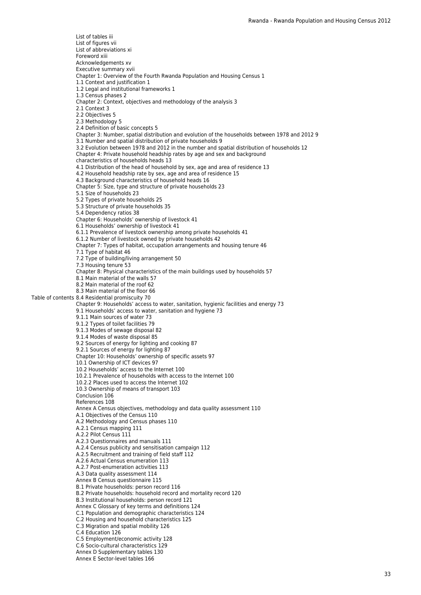Table of contents 8.4 Residential promiscuity 70 List of tables iii List of figures vii List of abbreviations xi Foreword xiii Acknowledgements xv Executive summary xvii Chapter 1: Overview of the Fourth Rwanda Population and Housing Census 1 1.1 Context and justification 1 1.2 Legal and institutional frameworks 1 1.3 Census phases 2 Chapter 2: Context, objectives and methodology of the analysis 3 2.1 Context 3 2.2 Objectives 5 2.3 Methodology 5 2.4 Definition of basic concepts 5 Chapter 3: Number, spatial distribution and evolution of the households between 1978 and 2012 9 3.1 Number and spatial distribution of private households 9 3.2 Evolution between 1978 and 2012 in the number and spatial distribution of households 12 Chapter 4: Private household headship rates by age and sex and background characteristics of households heads 13 4.1 Distribution of the head of household by sex, age and area of residence 13 4.2 Household headship rate by sex, age and area of residence 15 4.3 Background characteristics of household heads 16 Chapter 5: Size, type and structure of private households 23 5.1 Size of households 23 5.2 Types of private households 25 5.3 Structure of private households 35 5.4 Dependency ratios 38 Chapter 6: Households' ownership of livestock 41 6.1 Households' ownership of livestock 41 6.1.1 Prevalence of livestock ownership among private households 41 6.1.2 Number of livestock owned by private households 42 Chapter 7: Types of habitat, occupation arrangements and housing tenure 46 7.1 Type of habitat 46 7.2 Type of building/living arrangement 50 7.3 Housing tenure 53 Chapter 8: Physical characteristics of the main buildings used by households 57 8.1 Main material of the walls 57 8.2 Main material of the roof 62 8.3 Main material of the floor 66 Chapter 9: Households' access to water, sanitation, hygienic facilities and energy 73 9.1 Households' access to water, sanitation and hygiene 73 9.1.1 Main sources of water 73 9.1.2 Types of toilet facilities 79 9.1.3 Modes of sewage disposal 82 9.1.4 Modes of waste disposal 85 9.2 Sources of energy for lighting and cooking 87 9.2.1 Sources of energy for lighting 87 Chapter 10: Households' ownership of specific assets 97 10.1 Ownership of ICT devices 97 10.2 Households' access to the Internet 100 10.2.1 Prevalence of households with access to the Internet 100 10.2.2 Places used to access the Internet 102 10.3 Ownership of means of transport 103 Conclusion 106 References 108 Annex A Census objectives, methodology and data quality assessment 110 A.1 Objectives of the Census 110 A.2 Methodology and Census phases 110 A.2.1 Census mapping 111 A.2.2 Pilot Census 111 A.2.3 Questionnaires and manuals 111 A.2.4 Census publicity and sensitisation campaign 112 A.2.5 Recruitment and training of field staff 112 A.2.6 Actual Census enumeration 113 A.2.7 Post-enumeration activities 113 A.3 Data quality assessment 114 Annex B Census questionnaire 115 B.1 Private households: person record 116 B.2 Private households: household record and mortality record 120 B.3 Institutional households: person record 121 Annex C Glossary of key terms and definitions 124 C.1 Population and demographic characteristics 124 C.2 Housing and household characteristics 125 C.3 Migration and spatial mobility 126 C.4 Education 126 C.5 Employment/economic activity 128 C.6 Socio-cultural characteristics 129 Annex D Supplementary tables 130 Annex E Sector-level tables 166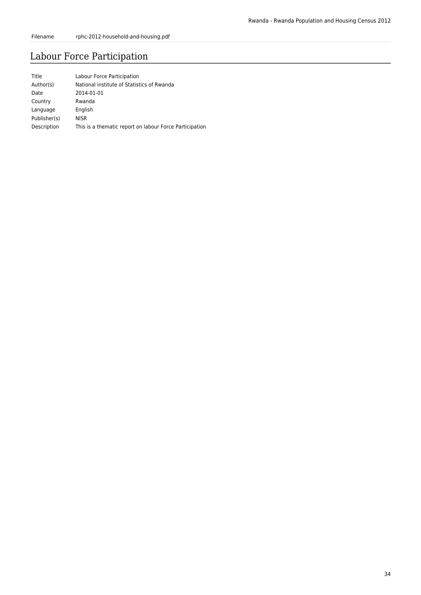# Labour Force Participation

| Title        | Labour Force Participation                              |
|--------------|---------------------------------------------------------|
| Author(s)    | National institute of Statistics of Rwanda              |
| Date         | 2014-01-01                                              |
| Country      | Rwanda                                                  |
| Language     | English                                                 |
| Publisher(s) | <b>NISR</b>                                             |
| Description  | This is a thematic report on labour Force Participation |
|              |                                                         |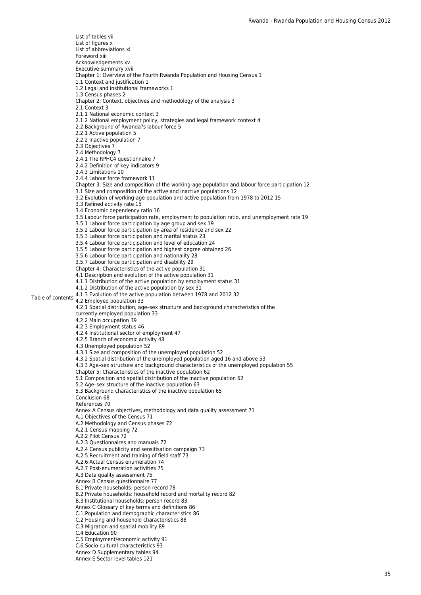Table of contents 4.1.3 Evolution of the active population between 1978 and 2012 32 List of tables vii List of figures x List of abbreviations xi Foreword xiii Acknowledgements xv Executive summary xvii Chapter 1: Overview of the Fourth Rwanda Population and Housing Census 1 1.1 Context and justification 1 1.2 Legal and institutional frameworks 1 1.3 Census phases 2 Chapter 2: Context, objectives and methodology of the analysis 3 2.1 Context 3 2.1.1 National economic context 3 2.1.2 National employment policy, strategies and legal framework context 4 2.2 Background of Rwanda?s labour force 5 2.2.1 Active population 5 2.2.2 Inactive population 7 2.3 Objectives 7 2.4 Methodology 7 2.4.1 The RPHC4 questionnaire 7 2.4.2 Definition of key indicators 9 2.4.3 Limitations 10 2.4.4 Labour force framework 11 Chapter 3: Size and composition of the working-age population and labour force participation 12 3.1 Size and composition of the active and inactive populations 12 3.2 Evolution of working-age population and active population from 1978 to 2012 15 3.3 Refined activity rate 15 3.4 Economic dependency ratio 16 3.5 Labour force participation rate, employment to population ratio, and unemployment rate 19 3.5.1 Labour force participation by age group and sex 19 3.5.2 Labour force participation by area of residence and sex 22 3.5.3 Labour force participation and marital status 23 3.5.4 Labour force participation and level of education 24 3.5.5 Labour force participation and highest degree obtained 26 3.5.6 Labour force participation and nationality 28 3.5.7 Labour force participation and disability 29 Chapter 4: Characteristics of the active population 31 4.1 Description and evolution of the active population 31 4.1.1 Distribution of the active population by employment status 31 4.1.2 Distribution of the active population by sex 31 4.2 Employed population 33 4.2.1 Spatial distribution, age–sex structure and background characteristics of the currently employed population 33 4.2.2 Main occupation 39 4.2.3 Employment status 46 4.2.4 Institutional sector of employment 47 4.2.5 Branch of economic activity 48 4.3 Unemployed population 52 4.3.1 Size and composition of the unemployed population 52 4.3.2 Spatial distribution of the unemployed population aged 16 and above 53 4.3.3 Age–sex structure and background characteristics of the unemployed population 55 Chapter 5: Characteristics of the inactive population 62 5.1 Composition and spatial distribution of the inactive population 62 5.2 Age–sex structure of the inactive population 63 5.3 Background characteristics of the inactive population 65 Conclusion 68 References 70 Annex A Census objectives, methodology and data quality assessment 71 A.1 Objectives of the Census 71 A.2 Methodology and Census phases 72 A.2.1 Census mapping 72 A.2.2 Pilot Census 72 A.2.3 Questionnaires and manuals 72 A.2.4 Census publicity and sensitisation campaign 73 A.2.5 Recruitment and training of field staff 73 A.2.6 Actual Census enumeration 74 A.2.7 Post-enumeration activities 75 A.3 Data quality assessment 75 Annex B Census questionnaire 77 B.1 Private households: person record 78 B.2 Private households: household record and mortality record 82 B.3 Institutional households: person record 83 Annex C Glossary of key terms and definitions 86 C.1 Population and demographic characteristics 86 C.2 Housing and household characteristics 88 C.3 Migration and spatial mobility 89 C.4 Education 90 C.5 Employment/economic activity 91 C.6 Socio-cultural characteristics 93 Annex D Supplementary tables 94 Annex E Sector-level tables 121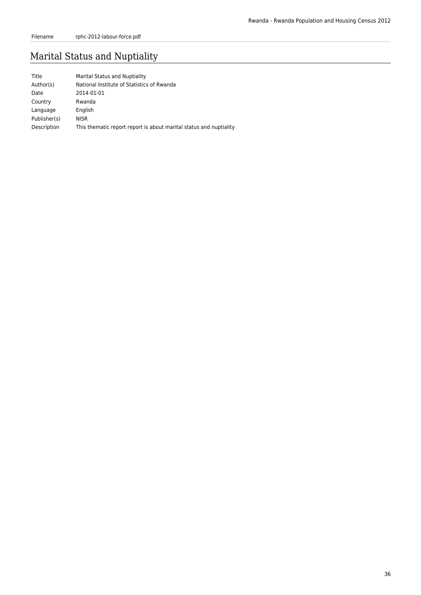# Marital Status and Nuptiality

| Title        | Marital Status and Nuptiality                                      |
|--------------|--------------------------------------------------------------------|
| Author(s)    | National Institute of Statistics of Rwanda                         |
| Date         | 2014-01-01                                                         |
| Country      | Rwanda                                                             |
| Language     | English                                                            |
| Publisher(s) | <b>NISR</b>                                                        |
| Description  | This thematic report report is about marital status and nuptiality |
|              |                                                                    |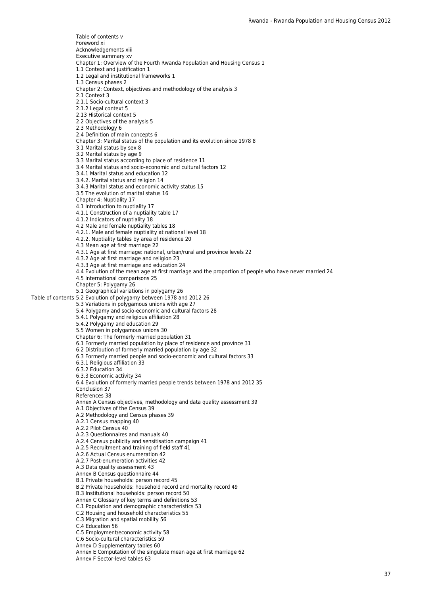Table of contents 5.2 Evolution of polygamy between 1978 and 2012 26 Table of contents v Foreword xi Acknowledgements xiii Executive summary xv Chapter 1: Overview of the Fourth Rwanda Population and Housing Census 1 1.1 Context and justification 1 1.2 Legal and institutional frameworks 1 1.3 Census phases 2 Chapter 2: Context, objectives and methodology of the analysis 3 2.1 Context 3 2.1.1 Socio-cultural context 3 2.1.2 Legal context 5 2.13 Historical context 5 2.2 Objectives of the analysis 5 2.3 Methodology 6 2.4 Definition of main concepts 6 Chapter 3: Marital status of the population and its evolution since 1978 8 3.1 Marital status by sex 8 3.2 Marital status by age 9 3.3 Marital status according to place of residence 11 3.4 Marital status and socio-economic and cultural factors 12 3.4.1 Marital status and education 12 3.4.2. Marital status and religion 14 3.4.3 Marital status and economic activity status 15 3.5 The evolution of marital status 16 Chapter 4: Nuptiality 17 4.1 Introduction to nuptiality 17 4.1.1 Construction of a nuptiality table 17 4.1.2 Indicators of nuptiality 18 4.2 Male and female nuptiality tables 18 4.2.1. Male and female nuptiality at national level 18 4.2.2. Nuptiality tables by area of residence 20 4.3 Mean age at first marriage 22 4.3.1 Age at first marriage: national, urban/rural and province levels 22 4.3.2 Age at first marriage and religion 23 4.3.3 Age at first marriage and education 24 4.4 Evolution of the mean age at first marriage and the proportion of people who have never married 24 4.5 International comparisons 25 Chapter 5: Polygamy 26 5.1 Geographical variations in polygamy 26 5.3 Variations in polygamous unions with age 27 5.4 Polygamy and socio-economic and cultural factors 28 5.4.1 Polygamy and religious affiliation 28 5.4.2 Polygamy and education 29 5.5 Women in polygamous unions 30 Chapter 6: The formerly married population 31 6.1 Formerly married population by place of residence and province 31 6.2 Distribution of formerly married population by age 32 6.3 Formerly married people and socio-economic and cultural factors 33 6.3.1 Religious affiliation 33 6.3.2 Education 34 6.3.3 Economic activity 34 6.4 Evolution of formerly married people trends between 1978 and 2012 35 Conclusion 37 References 38 Annex A Census objectives, methodology and data quality assessment 39 A.1 Objectives of the Census 39 A.2 Methodology and Census phases 39 A.2.1 Census mapping 40 A.2.2 Pilot Census 40 A.2.3 Questionnaires and manuals 40 A.2.4 Census publicity and sensitisation campaign 41 A.2.5 Recruitment and training of field staff 41 A.2.6 Actual Census enumeration 42 A.2.7 Post-enumeration activities 42 A.3 Data quality assessment 43 Annex B Census questionnaire 44 B.1 Private households: person record 45 B.2 Private households: household record and mortality record 49 B.3 Institutional households: person record 50 Annex C Glossary of key terms and definitions 53 C.1 Population and demographic characteristics 53 C.2 Housing and household characteristics 55 C.3 Migration and spatial mobility 56 C.4 Education 56 C.5 Employment/economic activity 58 C.6 Socio-cultural characteristics 59 Annex D Supplementary tables 60 Annex E Computation of the singulate mean age at first marriage 62 Annex F Sector-level tables 63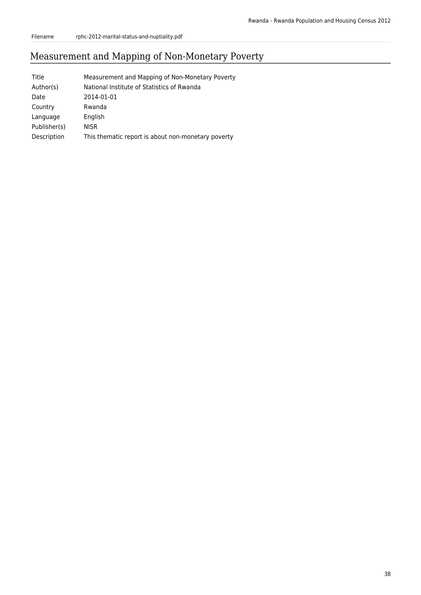# Measurement and Mapping of Non-Monetary Poverty

| Title        | Measurement and Mapping of Non-Monetary Poverty    |
|--------------|----------------------------------------------------|
| Author(s)    | National Institute of Statistics of Rwanda         |
| Date         | 2014-01-01                                         |
| Country      | Rwanda                                             |
| Language     | English                                            |
| Publisher(s) | NISR                                               |
| Description  | This thematic report is about non-monetary poverty |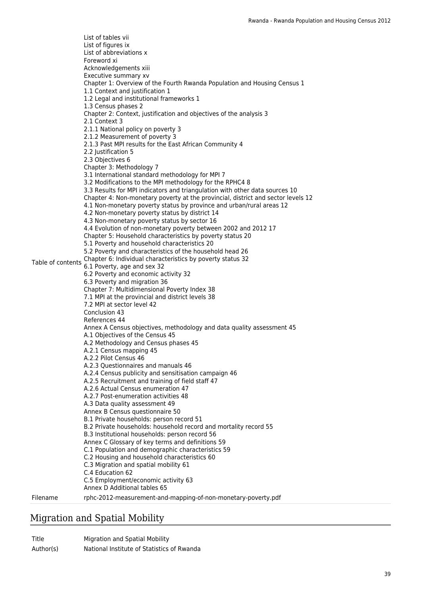Table of contents Chapter 6: Individual characteristics by poverty status 32 List of tables vii List of figures ix List of abbreviations x Foreword xi Acknowledgements xiii Executive summary xv Chapter 1: Overview of the Fourth Rwanda Population and Housing Census 1 1.1 Context and justification 1 1.2 Legal and institutional frameworks 1 1.3 Census phases 2 Chapter 2: Context, justification and objectives of the analysis 3 2.1 Context 3 2.1.1 National policy on poverty 3 2.1.2 Measurement of poverty 3 2.1.3 Past MPI results for the East African Community 4 2.2 Justification 5 2.3 Objectives 6 Chapter 3: Methodology 7 3.1 International standard methodology for MPI 7 3.2 Modifications to the MPI methodology for the RPHC4 8 3.3 Results for MPI indicators and triangulation with other data sources 10 Chapter 4: Non-monetary poverty at the provincial, district and sector levels 12 4.1 Non-monetary poverty status by province and urban/rural areas 12 4.2 Non-monetary poverty status by district 14 4.3 Non-monetary poverty status by sector 16 4.4 Evolution of non-monetary poverty between 2002 and 2012 17 Chapter 5: Household characteristics by poverty status 20 5.1 Poverty and household characteristics 20 5.2 Poverty and characteristics of the household head 26 6.1 Poverty, age and sex 32 6.2 Poverty and economic activity 32 6.3 Poverty and migration 36 Chapter 7: Multidimensional Poverty Index 38 7.1 MPI at the provincial and district levels 38 7.2 MPI at sector level 42 Conclusion 43 References 44 Annex A Census objectives, methodology and data quality assessment 45 A.1 Objectives of the Census 45 A.2 Methodology and Census phases 45 A.2.1 Census mapping 45 A.2.2 Pilot Census 46 A.2.3 Questionnaires and manuals 46 A.2.4 Census publicity and sensitisation campaign 46 A.2.5 Recruitment and training of field staff 47 A.2.6 Actual Census enumeration 47 A.2.7 Post-enumeration activities 48 A.3 Data quality assessment 49 Annex B Census questionnaire 50 B.1 Private households: person record 51 B.2 Private households: household record and mortality record 55 B.3 Institutional households: person record 56 Annex C Glossary of key terms and definitions 59 C.1 Population and demographic characteristics 59 C.2 Housing and household characteristics 60 C.3 Migration and spatial mobility 61 C.4 Education 62 C.5 Employment/economic activity 63 Annex D Additional tables 65 Filename rphc-2012-measurement-and-mapping-of-non-monetary-poverty.pdf

# Migration and Spatial Mobility

Title Migration and Spatial Mobility Author(s) National Institute of Statistics of Rwanda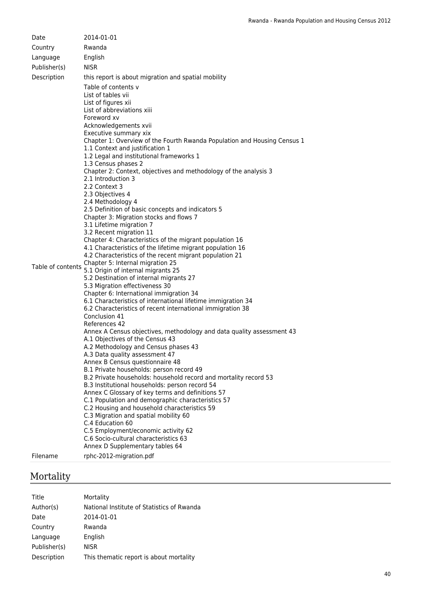| Date              | 2014-01-01                                                                                                           |
|-------------------|----------------------------------------------------------------------------------------------------------------------|
| Country           | Rwanda                                                                                                               |
| Language          | English                                                                                                              |
| Publisher(s)      | <b>NISR</b>                                                                                                          |
|                   |                                                                                                                      |
| Description       | this report is about migration and spatial mobility                                                                  |
|                   | Table of contents y                                                                                                  |
|                   | List of tables vii<br>List of figures xii                                                                            |
|                   | List of abbreviations xiii                                                                                           |
|                   | Foreword xv                                                                                                          |
|                   | Acknowledgements xvii                                                                                                |
|                   | Executive summary xix                                                                                                |
|                   | Chapter 1: Overview of the Fourth Rwanda Population and Housing Census 1                                             |
|                   | 1.1 Context and justification 1                                                                                      |
|                   | 1.2 Legal and institutional frameworks 1                                                                             |
|                   | 1.3 Census phases 2                                                                                                  |
|                   | Chapter 2: Context, objectives and methodology of the analysis 3<br>2.1 Introduction 3                               |
|                   | 2.2 Context 3                                                                                                        |
|                   | 2.3 Objectives 4                                                                                                     |
|                   | 2.4 Methodology 4                                                                                                    |
|                   | 2.5 Definition of basic concepts and indicators 5                                                                    |
|                   | Chapter 3: Migration stocks and flows 7                                                                              |
|                   | 3.1 Lifetime migration 7                                                                                             |
|                   | 3.2 Recent migration 11                                                                                              |
|                   | Chapter 4: Characteristics of the migrant population 16<br>4.1 Characteristics of the lifetime migrant population 16 |
|                   | 4.2 Characteristics of the recent migrant population 21                                                              |
|                   | Chapter 5: Internal migration 25                                                                                     |
| Table of contents | 5.1 Origin of internal migrants 25                                                                                   |
|                   | 5.2 Destination of internal migrants 27                                                                              |
|                   | 5.3 Migration effectiveness 30                                                                                       |
|                   | Chapter 6: International immigration 34                                                                              |
|                   | 6.1 Characteristics of international lifetime immigration 34                                                         |
|                   | 6.2 Characteristics of recent international immigration 38<br>Conclusion 41                                          |
|                   | References 42                                                                                                        |
|                   | Annex A Census objectives, methodology and data quality assessment 43                                                |
|                   | A.1 Objectives of the Census 43                                                                                      |
|                   | A.2 Methodology and Census phases 43                                                                                 |
|                   | A.3 Data quality assessment 47                                                                                       |
|                   | Annex B Census questionnaire 48                                                                                      |
|                   | B.1 Private households: person record 49<br>B.2 Private households: household record and mortality record 53         |
|                   | B.3 Institutional households: person record 54                                                                       |
|                   | Annex C Glossary of key terms and definitions 57                                                                     |
|                   | C.1 Population and demographic characteristics 57                                                                    |
|                   | C.2 Housing and household characteristics 59                                                                         |
|                   | C.3 Migration and spatial mobility 60                                                                                |
|                   | C.4 Education 60                                                                                                     |
|                   | C.5 Employment/economic activity 62                                                                                  |
|                   | C.6 Socio-cultural characteristics 63<br>Annex D Supplementary tables 64                                             |
|                   |                                                                                                                      |
| Filename          | rphc-2012-migration.pdf                                                                                              |

# Mortality

| Title        | Mortality                                  |
|--------------|--------------------------------------------|
| Author(s)    | National Institute of Statistics of Rwanda |
| Date         | 2014-01-01                                 |
| Country      | Rwanda                                     |
| Language     | English                                    |
| Publisher(s) | <b>NISR</b>                                |
| Description  | This thematic report is about mortality    |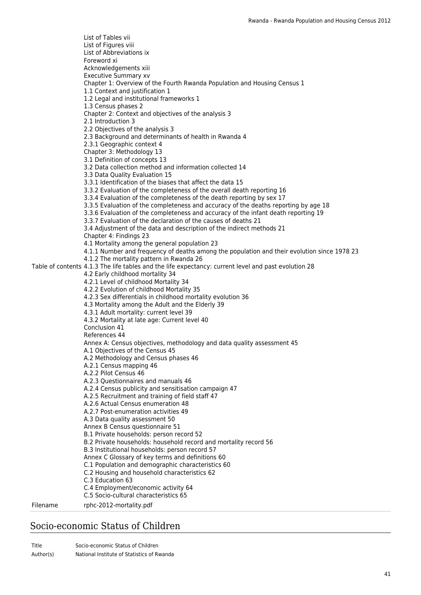Table of contents 4.1.3 The life tables and the life expectancy: current level and past evolution 28 List of Tables vii List of Figures viii List of Abbreviations ix Foreword xi Acknowledgements xiii Executive Summary xv Chapter 1: Overview of the Fourth Rwanda Population and Housing Census 1 1.1 Context and justification 1 1.2 Legal and institutional frameworks 1 1.3 Census phases 2 Chapter 2: Context and objectives of the analysis 3 2.1 Introduction 3 2.2 Objectives of the analysis 3 2.3 Background and determinants of health in Rwanda 4 2.3.1 Geographic context 4 Chapter 3: Methodology 13 3.1 Definition of concepts 13 3.2 Data collection method and information collected 14 3.3 Data Quality Evaluation 15 3.3.1 Identification of the biases that affect the data 15 3.3.2 Evaluation of the completeness of the overall death reporting 16 3.3.4 Evaluation of the completeness of the death reporting by sex 17 3.3.5 Evaluation of the completeness and accuracy of the deaths reporting by age 18 3.3.6 Evaluation of the completeness and accuracy of the infant death reporting 19 3.3.7 Evaluation of the declaration of the causes of deaths 21 3.4 Adjustment of the data and description of the indirect methods 21 Chapter 4: Findings 23 4.1 Mortality among the general population 23 4.1.1 Number and frequency of deaths among the population and their evolution since 1978 23 4.1.2 The mortality pattern in Rwanda 26 4.2 Early childhood mortality 34 4.2.1 Level of childhood Mortality 34 4.2.2 Evolution of childhood Mortality 35 4.2.3 Sex differentials in childhood mortality evolution 36 4.3 Mortality among the Adult and the Elderly 39 4.3.1 Adult mortality: current level 39 4.3.2 Mortality at late age: Current level 40 Conclusion 41 References 44 Annex A: Census objectives, methodology and data quality assessment 45 A.1 Objectives of the Census 45 A.2 Methodology and Census phases 46 A.2.1 Census mapping 46 A.2.2 Pilot Census 46 A.2.3 Questionnaires and manuals 46 A.2.4 Census publicity and sensitisation campaign 47 A.2.5 Recruitment and training of field staff 47 A.2.6 Actual Census enumeration 48 A.2.7 Post-enumeration activities 49 A.3 Data quality assessment 50 Annex B Census questionnaire 51 B.1 Private households: person record 52 B.2 Private households: household record and mortality record 56 B.3 Institutional households: person record 57 Annex C Glossary of key terms and definitions 60 C.1 Population and demographic characteristics 60 C.2 Housing and household characteristics 62 C.3 Education 63 C.4 Employment/economic activity 64 C.5 Socio-cultural characteristics 65 Filename rphc-2012-mortality.pdf

#### Socio-economic Status of Children

Title Socio-economic Status of Children Author(s) National Institute of Statistics of Rwanda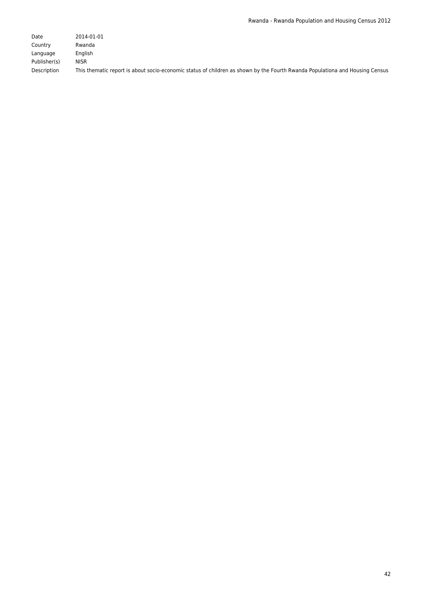| Date         | 2014-01-01                                                                                                                   |
|--------------|------------------------------------------------------------------------------------------------------------------------------|
| Country      | Rwanda                                                                                                                       |
| Language     | Enalish                                                                                                                      |
| Publisher(s) | NISR                                                                                                                         |
| Description  | This thematic report is about socio-economic status of children as shown by the Fourth Rwanda Populationa and Housing Census |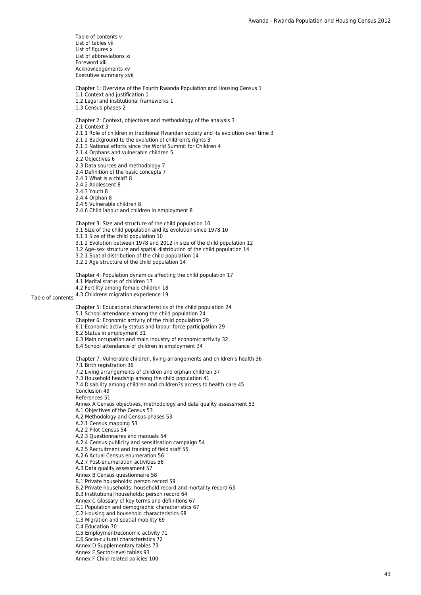Table of contents 4.3 Childrens migration experience 19 Table of contents v List of tables vii List of figures x List of abbreviations xi Foreword xiii Acknowledgements xv Executive summary xvii Chapter 1: Overview of the Fourth Rwanda Population and Housing Census 1 1.1 Context and justification 1 1.2 Legal and institutional frameworks 1 1.3 Census phases 2 Chapter 2: Context, objectives and methodology of the analysis 3 2.1 Context 3 2.1.1 Role of children in traditional Rwandan society and its evolution over time 3 2.1.2 Background to the evolution of children?s rights 3 2.1.3 National efforts since the World Summit for Children 4 2.1.4 Orphans and vulnerable children 5 2.2 Objectives 6 2.3 Data sources and methodology 7 2.4 Definition of the basic concepts 7 2.4.1 What is a child? 8 2.4.2 Adolescent 8 2.4.3 Youth 8 2.4.4 Orphan 8 2.4.5 Vulnerable children 8 2.4.6 Child labour and children in employment 8 Chapter 3: Size and structure of the child population 10 3.1 Size of the child population and its evolution since 1978 10 3.1.1 Size of the child population 10 3.1.2 Evolution between 1978 and 2012 in size of the child population 12 3.2 Age–sex structure and spatial distribution of the child population 14 3.2.1 Spatial distribution of the child population 14 3.2.2 Age structure of the child population 14 Chapter 4: Population dynamics affecting the child population 17 4.1 Marital status of children 17 4.2 Fertility among female children 18 Chapter 5: Educational characteristics of the child population 24 5.1 School attendance among the child population 24 Chapter 6: Economic activity of the child population 29 6.1 Economic activity status and labour force participation 29 6.2 Status in employment 31 6.3 Main occupation and main industry of economic activity 32 6.4 School attendance of children in employment 34 Chapter 7: Vulnerable children, living arrangements and children's health 36 7.1 Birth registration 36 7.2 Living arrangements of children and orphan children 37 7.3 Household headship among the child population 41 7.4 Disability among children and children?s access to health care 45 Conclusion 49 References 51 Annex A Census objectives, methodology and data quality assessment 53 A.1 Objectives of the Census 53 A.2 Methodology and Census phases 53 A.2.1 Census mapping 53 A.2.2 Pilot Census 54 A.2.3 Questionnaires and manuals 54 A.2.4 Census publicity and sensitisation campaign 54 A.2.5 Recruitment and training of field staff 55 A.2.6 Actual Census enumeration 56 A.2.7 Post-enumeration activities 56 A.3 Data quality assessment 57 Annex B Census questionnaire 58 B.1 Private households: person record 59 B.2 Private households: household record and mortality record 63 B.3 Institutional households: person record 64 Annex C Glossary of key terms and definitions 67 C.1 Population and demographic characteristics 67 C.2 Housing and household characteristics 68 C.3 Migration and spatial mobility 69 C.4 Education 70 C.5 Employment/economic activity 71 C.6 Socio-cultural characteristics 72 Annex D Supplementary tables 73 Annex E Sector-level tables 93 Annex F Child-related policies 100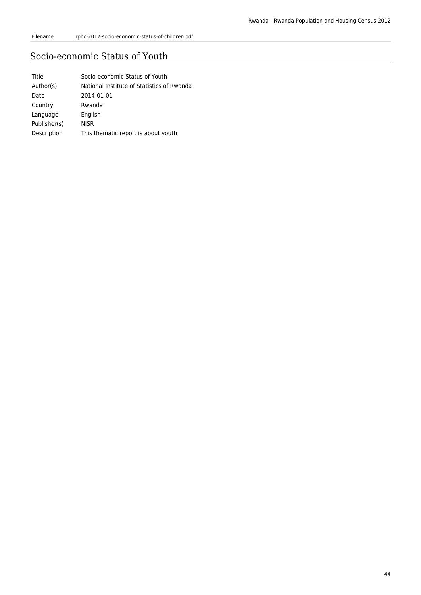# Socio-economic Status of Youth

| Title        | Socio-economic Status of Youth             |
|--------------|--------------------------------------------|
| Author(s)    | National Institute of Statistics of Rwanda |
| Date         | 2014-01-01                                 |
| Country      | Rwanda                                     |
| Language     | English                                    |
| Publisher(s) | <b>NISR</b>                                |
| Description  | This thematic report is about youth        |
|              |                                            |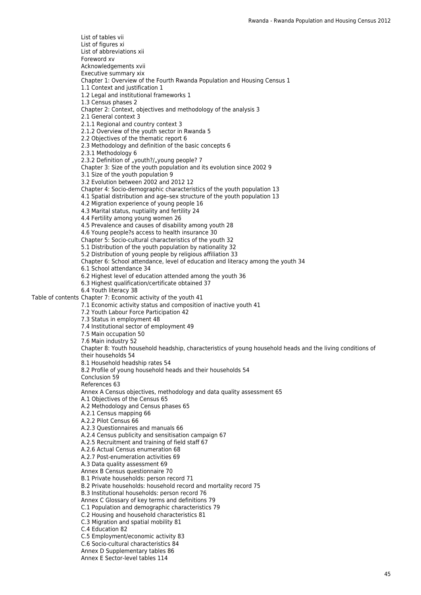Table of contents Chapter 7: Economic activity of the youth 41 List of tables vii List of figures xi List of abbreviations xii Foreword xv Acknowledgements xvii Executive summary xix Chapter 1: Overview of the Fourth Rwanda Population and Housing Census 1 1.1 Context and justification 1 1.2 Legal and institutional frameworks 1 1.3 Census phases 2 Chapter 2: Context, objectives and methodology of the analysis 3 2.1 General context 3 2.1.1 Regional and country context 3 2.1.2 Overview of the youth sector in Rwanda 5 2.2 Objectives of the thematic report 6 2.3 Methodology and definition of the basic concepts 6 2.3.1 Methodology 6 2.3.2 Definition of "youth?/"young people? 7 Chapter 3: Size of the youth population and its evolution since 2002 9 3.1 Size of the youth population 9 3.2 Evolution between 2002 and 2012 12 Chapter 4: Socio-demographic characteristics of the youth population 13 4.1 Spatial distribution and age–sex structure of the youth population 13 4.2 Migration experience of young people 16 4.3 Marital status, nuptiality and fertility 24 4.4 Fertility among young women 26 4.5 Prevalence and causes of disability among youth 28 4.6 Young people?s access to health insurance 30 Chapter 5: Socio-cultural characteristics of the youth 32 5.1 Distribution of the youth population by nationality 32 5.2 Distribution of young people by religious affiliation 33 Chapter 6: School attendance, level of education and literacy among the youth 34 6.1 School attendance 34 6.2 Highest level of education attended among the youth 36 6.3 Highest qualification/certificate obtained 37 6.4 Youth literacy 38 7.1 Economic activity status and composition of inactive youth 41 7.2 Youth Labour Force Participation 42 7.3 Status in employment 48 7.4 Institutional sector of employment 49 7.5 Main occupation 50 7.6 Main industry 52 Chapter 8: Youth household headship, characteristics of young household heads and the living conditions of their households 54 8.1 Household headship rates 54 8.2 Profile of young household heads and their households 54 Conclusion 59 References 63 Annex A Census objectives, methodology and data quality assessment 65 A.1 Objectives of the Census 65 A.2 Methodology and Census phases 65 A.2.1 Census mapping 66 A.2.2 Pilot Census 66 A.2.3 Questionnaires and manuals 66 A.2.4 Census publicity and sensitisation campaign 67 A.2.5 Recruitment and training of field staff 67 A.2.6 Actual Census enumeration 68 A.2.7 Post-enumeration activities 69 A.3 Data quality assessment 69 Annex B Census questionnaire 70 B.1 Private households: person record 71 B.2 Private households: household record and mortality record 75 B.3 Institutional households: person record 76 Annex C Glossary of key terms and definitions 79 C.1 Population and demographic characteristics 79 C.2 Housing and household characteristics 81 C.3 Migration and spatial mobility 81 C.4 Education 82 C.5 Employment/economic activity 83 C.6 Socio-cultural characteristics 84 Annex D Supplementary tables 86 Annex E Sector-level tables 114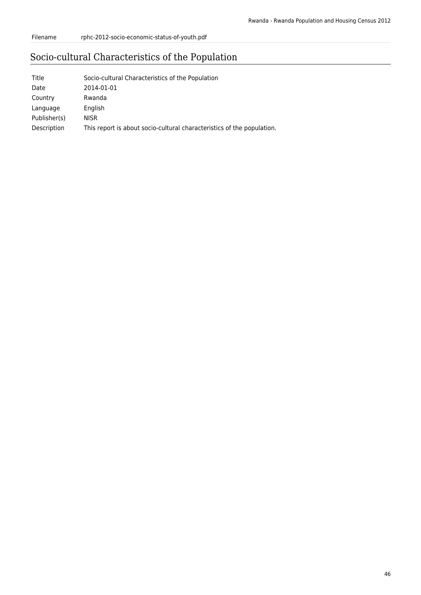# Socio-cultural Characteristics of the Population

| Title        | Socio-cultural Characteristics of the Population                       |
|--------------|------------------------------------------------------------------------|
| Date         | 2014-01-01                                                             |
| Country      | Rwanda                                                                 |
| Language     | English                                                                |
| Publisher(s) | <b>NISR</b>                                                            |
| Description  | This report is about socio-cultural characteristics of the population. |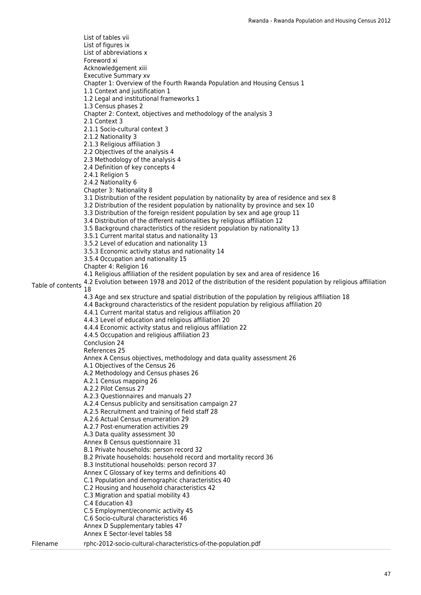Table of contents 4.2 Evolution between 1978 and 2012 of the distribution of the resident population by religious affiliation<br>Table of contents <sub>19</sub> List of tables vii List of figures ix List of abbreviations x Foreword xi Acknowledgement xiii Executive Summary xv Chapter 1: Overview of the Fourth Rwanda Population and Housing Census 1 1.1 Context and justification 1 1.2 Legal and institutional frameworks 1 1.3 Census phases 2 Chapter 2: Context, objectives and methodology of the analysis 3 2.1 Context 3 2.1.1 Socio-cultural context 3 2.1.2 Nationality 3 2.1.3 Religious affiliation 3 2.2 Objectives of the analysis 4 2.3 Methodology of the analysis 4 2.4 Definition of key concepts 4 2.4.1 Religion 5 2.4.2 Nationality 6 Chapter 3: Nationality 8 3.1 Distribution of the resident population by nationality by area of residence and sex 8 3.2 Distribution of the resident population by nationality by province and sex 10 3.3 Distribution of the foreign resident population by sex and age group 11 3.4 Distribution of the different nationalities by religious affiliation 12 3.5 Background characteristics of the resident population by nationality 13 3.5.1 Current marital status and nationality 13 3.5.2 Level of education and nationality 13 3.5.3 Economic activity status and nationality 14 3.5.4 Occupation and nationality 15 Chapter 4: Religion 16 4.1 Religious affiliation of the resident population by sex and area of residence 16 18 4.3 Age and sex structure and spatial distribution of the population by religious affiliation 18 4.4 Background characteristics of the resident population by religious affiliation 20 4.4.1 Current marital status and religious affiliation 20 4.4.3 Level of education and religious affiliation 20 4.4.4 Economic activity status and religious affiliation 22 4.4.5 Occupation and religious affiliation 23 Conclusion 24 References 25 Annex A Census objectives, methodology and data quality assessment 26 A.1 Objectives of the Census 26 A.2 Methodology and Census phases 26 A.2.1 Census mapping 26 A.2.2 Pilot Census 27 A.2.3 Questionnaires and manuals 27 A.2.4 Census publicity and sensitisation campaign 27 A.2.5 Recruitment and training of field staff 28 A.2.6 Actual Census enumeration 29 A.2.7 Post-enumeration activities 29 A.3 Data quality assessment 30 Annex B Census questionnaire 31 B.1 Private households: person record 32 B.2 Private households: household record and mortality record 36 B.3 Institutional households: person record 37 Annex C Glossary of key terms and definitions 40 C.1 Population and demographic characteristics 40 C.2 Housing and household characteristics 42 C.3 Migration and spatial mobility 43 C.4 Education 43 C.5 Employment/economic activity 45 C.6 Socio-cultural characteristics 46 Annex D Supplementary tables 47 Annex E Sector-level tables 58 Filename rphc-2012-socio-cultural-characteristics-of-the-population.pdf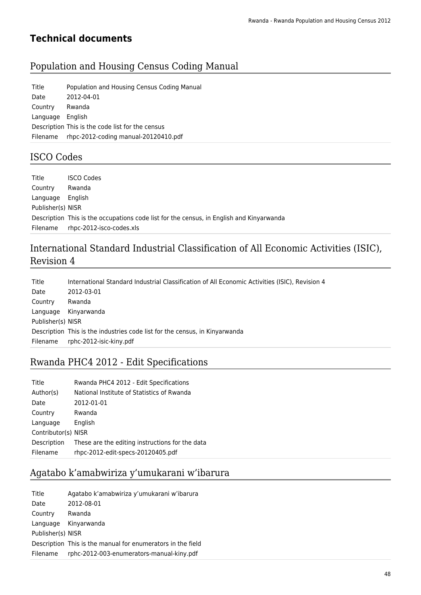# **Technical documents**

# Population and Housing Census Coding Manual

| Title            | Population and Housing Census Coding Manual      |
|------------------|--------------------------------------------------|
| Date             | 2012-04-01                                       |
| Country          | Rwanda                                           |
| Language English |                                                  |
|                  | Description This is the code list for the census |
| Filename         | rhpc-2012-coding manual-20120410.pdf             |

# ISCO Codes

| Title             | <b>ISCO Codes</b>                                                                        |
|-------------------|------------------------------------------------------------------------------------------|
| Country           | Rwanda                                                                                   |
| Language          | English                                                                                  |
| Publisher(s) NISR |                                                                                          |
|                   | Description This is the occupations code list for the census, in English and Kinyarwanda |
| Filename          | rhpc-2012-isco-codes.xls                                                                 |

# International Standard Industrial Classification of All Economic Activities (ISIC), Revision 4

| Title             | International Standard Industrial Classification of All Economic Activities (ISIC), Revision 4 |
|-------------------|------------------------------------------------------------------------------------------------|
| Date              | 2012-03-01                                                                                     |
| Country           | Rwanda                                                                                         |
| Language          | Kinyarwanda                                                                                    |
| Publisher(s) NISR |                                                                                                |
|                   | Description This is the industries code list for the census, in Kinyarwanda                    |
| Filename          | rphc-2012-isic-kiny.pdf                                                                        |

# Rwanda PHC4 2012 - Edit Specifications

| Title               | Rwanda PHC4 2012 - Edit Specifications          |
|---------------------|-------------------------------------------------|
| Author(s)           | National Institute of Statistics of Rwanda      |
| Date                | 2012-01-01                                      |
| Country             | Rwanda                                          |
| Language            | English                                         |
| Contributor(s) NISR |                                                 |
| Description         | These are the editing instructions for the data |
| Filename            | rhpc-2012-edit-specs-20120405.pdf               |
|                     |                                                 |

# Agatabo k'amabwiriza y'umukarani w'ibarura

| Title             | Agatabo k'amabwiriza y'umukarani w'ibarura                  |
|-------------------|-------------------------------------------------------------|
| Date              | 2012-08-01                                                  |
| Country           | Rwanda                                                      |
| Language          | Kinyarwanda                                                 |
| Publisher(s) NISR |                                                             |
|                   | Description This is the manual for enumerators in the field |
| Filename          | rphc-2012-003-enumerators-manual-kiny.pdf                   |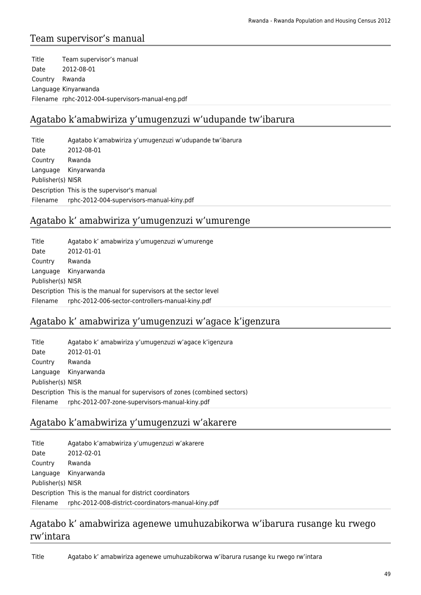### Team supervisor's manual

Title Team supervisor's manual Date 2012-08-01 Country Rwanda Language Kinyarwanda Filename rphc-2012-004-supervisors-manual-eng.pdf

### Agatabo k'amabwiriza y'umugenzuzi w'udupande tw'ibarura

Title Agatabo k'amabwiriza y'umugenzuzi w'udupande tw'ibarura Date 2012-08-01 Country Rwanda Language Kinyarwanda Publisher(s) NISR Description This is the supervisor's manual Filename rphc-2012-004-supervisors-manual-kiny.pdf

#### Agatabo k' amabwiriza y'umugenzuzi w'umurenge

| Title             | Agatabo k' amabwiriza y'umugenzuzi w'umurenge                      |
|-------------------|--------------------------------------------------------------------|
| Date              | 2012-01-01                                                         |
| Country           | Rwanda                                                             |
| Language          | Kinyarwanda                                                        |
| Publisher(s) NISR |                                                                    |
|                   | Description This is the manual for supervisors at the sector level |
| Filename          | rphc-2012-006-sector-controllers-manual-kiny.pdf                   |

### Agatabo k' amabwiriza y'umugenzuzi w'agace k'igenzura

| Title             | Agatabo k' amabwiriza y'umugenzuzi w'agace k'igenzura                      |
|-------------------|----------------------------------------------------------------------------|
| Date              | 2012-01-01                                                                 |
| Country           | Rwanda                                                                     |
| Language          | Kinyarwanda                                                                |
| Publisher(s) NISR |                                                                            |
|                   | Description This is the manual for supervisors of zones (combined sectors) |
| Filename          | rphc-2012-007-zone-supervisors-manual-kiny.pdf                             |

### Agatabo k'amabwiriza y'umugenzuzi w'akarere

| Title             | Agatabo k'amabwiriza y'umugenzuzi w'akarere              |
|-------------------|----------------------------------------------------------|
| Date              | 2012-02-01                                               |
| Country           | Rwanda                                                   |
| Language          | Kinyarwanda                                              |
| Publisher(s) NISR |                                                          |
|                   | Description This is the manual for district coordinators |
| Filename          | rphc-2012-008-district-coordinators-manual-kiny.pdf      |

### Agatabo k' amabwiriza agenewe umuhuzabikorwa w'ibarura rusange ku rwego rw'intara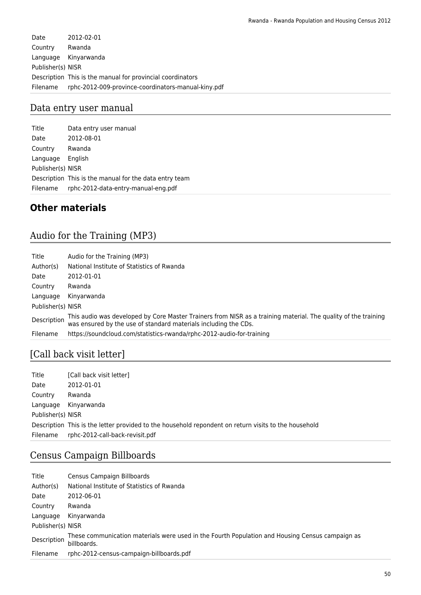Date 2012-02-01 Country Rwanda Language Kinyarwanda Publisher(s) NISR Description This is the manual for provincial coordinators Filename rphc-2012-009-province-coordinators-manual-kiny.pdf

#### Data entry user manual

Title Data entry user manual Date 2012-08-01 Country Rwanda Language English Publisher(s) NISR Description This is the manual for the data entry team Filename rphc-2012-data-entry-manual-eng.pdf

### **Other materials**

# Audio for the Training (MP3)

| Title             | Audio for the Training (MP3)                                                                                                                                                      |
|-------------------|-----------------------------------------------------------------------------------------------------------------------------------------------------------------------------------|
| Author(s)         | National Institute of Statistics of Rwanda                                                                                                                                        |
| Date              | 2012-01-01                                                                                                                                                                        |
| Country           | Rwanda                                                                                                                                                                            |
| Language          | Kinyarwanda                                                                                                                                                                       |
| Publisher(s) NISR |                                                                                                                                                                                   |
| Description       | This audio was developed by Core Master Trainers from NISR as a training material. The quality of the training<br>was ensured by the use of standard materials including the CDs. |
| Filename          | https://soundcloud.com/statistics-rwanda/rphc-2012-audio-for-training                                                                                                             |

# [Call back visit letter]

| Title             | [Call back visit letter]                                                                             |
|-------------------|------------------------------------------------------------------------------------------------------|
| Date              | 2012-01-01                                                                                           |
| Country           | Rwanda                                                                                               |
| Language          | Kinyarwanda                                                                                          |
| Publisher(s) NISR |                                                                                                      |
|                   | Description This is the letter provided to the household repondent on return visits to the household |
| Filename          | rphc-2012-call-back-revisit.pdf                                                                      |

### Census Campaign Billboards

| Title             | Census Campaign Billboards                                                                                     |
|-------------------|----------------------------------------------------------------------------------------------------------------|
| Author(s)         | National Institute of Statistics of Rwanda                                                                     |
| Date              | 2012-06-01                                                                                                     |
| Country           | Rwanda                                                                                                         |
| Language          | Kinyarwanda                                                                                                    |
| Publisher(s) NISR |                                                                                                                |
| Description       | These communication materials were used in the Fourth Population and Housing Census campaign as<br>billboards. |
| Filename          | rphc-2012-census-campaign-billboards.pdf                                                                       |